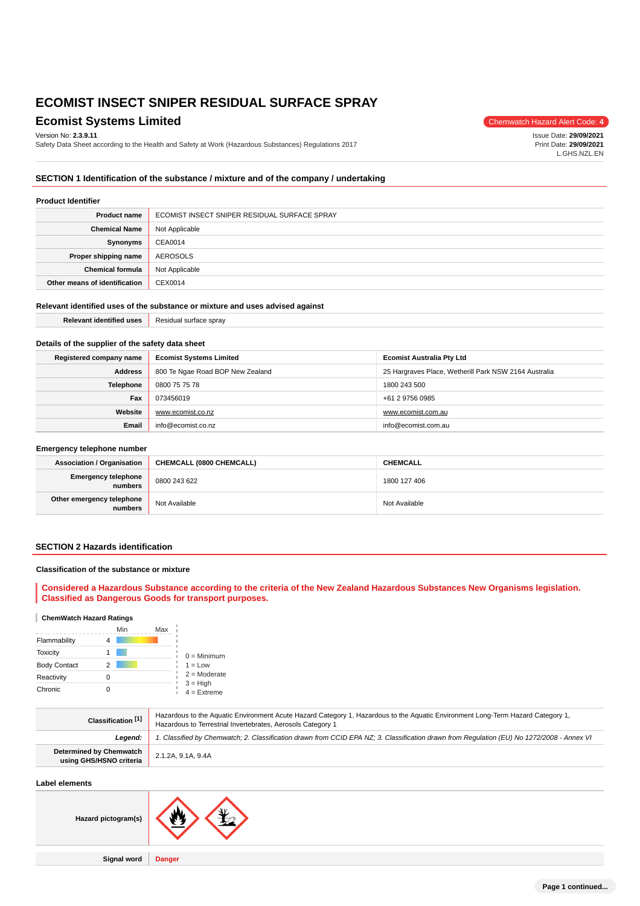## **Ecomist Systems Limited** Chemwatch Hazard Alert Code: 4

Version No: **2.3.9.11**

Safety Data Sheet according to the Health and Safety at Work (Hazardous Substances) Regulations 2017

Issue Date: **29/09/2021** Print Date: **29/09/2021** L.GHS.NZL.EN

### **SECTION 1 Identification of the substance / mixture and of the company / undertaking**

#### **Product Identifier**

| <b>Product name</b>           | ECOMIST INSECT SNIPER RESIDUAL SURFACE SPRAY |
|-------------------------------|----------------------------------------------|
| <b>Chemical Name</b>          | Not Applicable                               |
| Synonyms                      | CEA0014                                      |
| Proper shipping name          | AEROSOLS                                     |
| <b>Chemical formula</b>       | Not Applicable                               |
| Other means of identification | CEX0014                                      |

### **Relevant identified uses of the substance or mixture and uses advised against**

**Relevant identified uses Residual surface spray** 

### **Details of the supplier of the safety data sheet**

| Registered company name | <b>Ecomist Systems Limited</b>   | <b>Ecomist Australia Pty Ltd</b>                      |  |
|-------------------------|----------------------------------|-------------------------------------------------------|--|
| <b>Address</b>          | 800 Te Ngae Road BOP New Zealand | 25 Hargraves Place, Wetherill Park NSW 2164 Australia |  |
| <b>Telephone</b>        | 0800 75 75 78                    | 1800 243 500                                          |  |
| Fax                     | 073456019                        | +61 2 9756 0985                                       |  |
| Website                 | www.ecomist.co.nz                | www.ecomist.com.au                                    |  |
| Email                   | info@ecomist.co.nz               | info@ecomist.com.au                                   |  |

#### **Emergency telephone number**

| <b>Association / Organisation</b><br>CHEMCALL (0800 CHEMCALL) |               | <b>CHEMCALL</b> |
|---------------------------------------------------------------|---------------|-----------------|
| Emergency telephone<br>numbers                                | 0800 243 622  | 1800 127 406    |
| Other emergency telephone<br>numbers                          | Not Available | Not Available   |

### **SECTION 2 Hazards identification**

### **Classification of the substance or mixture**

### **Considered a Hazardous Substance according to the criteria of the New Zealand Hazardous Substances New Organisms legislation. Classified as Dangerous Goods for transport purposes.**

### **ChemWatch Hazard Ratings**

|                     | Min | Max |                             |
|---------------------|-----|-----|-----------------------------|
| Flammability        |     |     |                             |
| <b>Toxicity</b>     |     |     | $0 =$ Minimum               |
| <b>Body Contact</b> |     |     | $1 = Low$                   |
| Reactivity          |     |     | $2 =$ Moderate              |
| Chronic             |     |     | $3 = High$<br>$4 =$ Extreme |

| Classification [1]                                        | Hazardous to the Aquatic Environment Acute Hazard Category 1, Hazardous to the Aquatic Environment Long-Term Hazard Category 1,<br>Hazardous to Terrestrial Invertebrates, Aerosols Category 1 |  |
|-----------------------------------------------------------|------------------------------------------------------------------------------------------------------------------------------------------------------------------------------------------------|--|
| Leaend:                                                   | 1. Classified by Chemwatch; 2. Classification drawn from CCID EPA NZ; 3. Classification drawn from Requlation (EU) No 1272/2008 - Annex VI                                                     |  |
| <b>Determined by Chemwatch</b><br>using GHS/HSNO criteria | 2.1.2A. 9.1A. 9.4A                                                                                                                                                                             |  |

**Label elements**



**Signal word Danger**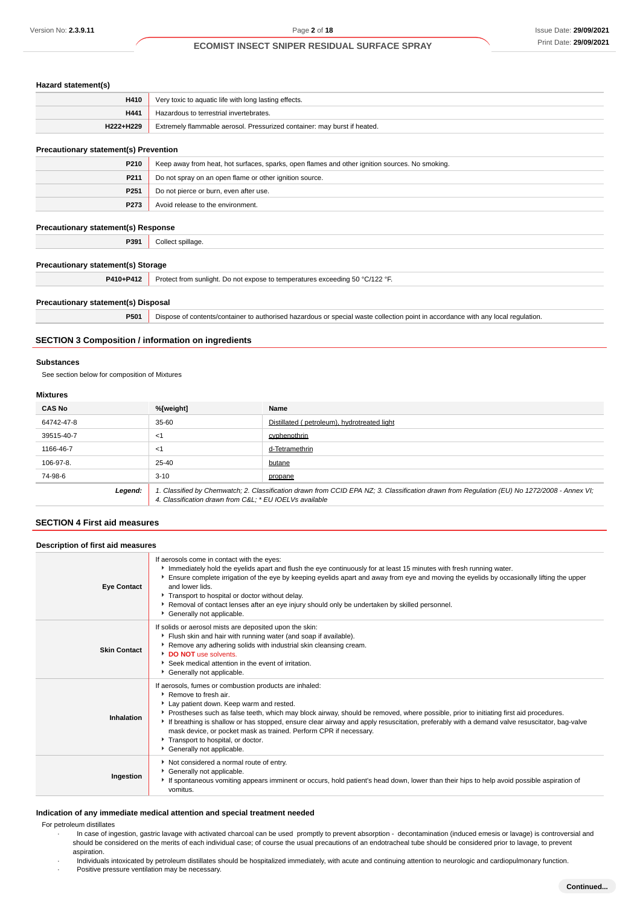| Hazard statement(s) |  |
|---------------------|--|
|---------------------|--|

| H410      | Very toxic to aquatic life with long lasting effects.                    |
|-----------|--------------------------------------------------------------------------|
| H441      | Hazardous to terrestrial invertebrates.                                  |
| H222+H229 | Extremely flammable aerosol. Pressurized container: may burst if heated. |

### **Precautionary statement(s) Prevention**

| P210             | Keep away from heat, hot surfaces, sparks, open flames and other ignition sources. No smoking. |
|------------------|------------------------------------------------------------------------------------------------|
| P211             | Do not spray on an open flame or other ignition source.                                        |
| P <sub>251</sub> | Do not pierce or burn, even after use.                                                         |
| P273             | Avoid release to the environment.                                                              |
|                  |                                                                                                |

### **Precautionary statement(s) Response**

**P391** Collect spillage.

### **Precautionary statement(s) Storage**

**P410+P412** Protect from sunlight. Do not expose to temperatures exceeding 50 °C/122 °F.

### **Precautionary statement(s) Disposal**

**P501** Dispose of contents/container to authorised hazardous or special waste collection point in accordance with any local regulation.

### **SECTION 3 Composition / information on ingredients**

## **Substances**

See section below for composition of Mixtures

### **Mixtures**

| <b>CAS No</b> | %[weight]                                                                                                                                                                                             | Name                                        |
|---------------|-------------------------------------------------------------------------------------------------------------------------------------------------------------------------------------------------------|---------------------------------------------|
| 64742-47-8    | $35 - 60$                                                                                                                                                                                             | Distillated (petroleum), hydrotreated light |
| 39515-40-7    | <1                                                                                                                                                                                                    | cyphenothrin                                |
| 1166-46-7     | <1                                                                                                                                                                                                    | d-Tetramethrin                              |
| 106-97-8.     | 25-40                                                                                                                                                                                                 | butane                                      |
| 74-98-6       | $3 - 10$                                                                                                                                                                                              | propane                                     |
| Legend:       | 1. Classified by Chemwatch; 2. Classification drawn from CCID EPA NZ; 3. Classification drawn from Regulation (EU) No 1272/2008 - Annex VI;<br>4. Classification drawn from C&L * EU IOELVs available |                                             |

### **SECTION 4 First aid measures**

| Description of first aid measures |                                                                                                                                                                                                                                                                                                                                                                                                                                                                                                                                                           |  |
|-----------------------------------|-----------------------------------------------------------------------------------------------------------------------------------------------------------------------------------------------------------------------------------------------------------------------------------------------------------------------------------------------------------------------------------------------------------------------------------------------------------------------------------------------------------------------------------------------------------|--|
| <b>Eye Contact</b>                | If aerosols come in contact with the eyes:<br>Immediately hold the eyelids apart and flush the eye continuously for at least 15 minutes with fresh running water.<br>Ensure complete irrigation of the eye by keeping eyelids apart and away from eye and moving the eyelids by occasionally lifting the upper<br>and lower lids.<br>Transport to hospital or doctor without delay.<br>Removal of contact lenses after an eye injury should only be undertaken by skilled personnel.<br>Generally not applicable.                                         |  |
| <b>Skin Contact</b>               | If solids or aerosol mists are deposited upon the skin:<br>Flush skin and hair with running water (and soap if available).<br>Remove any adhering solids with industrial skin cleansing cream.<br>DO NOT use solvents.<br>Seek medical attention in the event of irritation.<br>Generally not applicable.                                                                                                                                                                                                                                                 |  |
| Inhalation                        | If aerosols, fumes or combustion products are inhaled:<br>▶ Remove to fresh air.<br>Lay patient down. Keep warm and rested.<br>Prostheses such as false teeth, which may block airway, should be removed, where possible, prior to initiating first aid procedures.<br>If breathing is shallow or has stopped, ensure clear airway and apply resuscitation, preferably with a demand valve resuscitator, bag-valve<br>mask device, or pocket mask as trained. Perform CPR if necessary.<br>Transport to hospital, or doctor.<br>Generally not applicable. |  |
| Ingestion                         | Not considered a normal route of entry.<br>Generally not applicable.<br>If spontaneous vomiting appears imminent or occurs, hold patient's head down, lower than their hips to help avoid possible aspiration of<br>vomitus.                                                                                                                                                                                                                                                                                                                              |  |

### **Indication of any immediate medical attention and special treatment needed**

For petroleum distillates

- · In case of ingestion, gastric lavage with activated charcoal can be used promptly to prevent absorption decontamination (induced emesis or lavage) is controversial and should be considered on the merits of each individual case; of course the usual precautions of an endotracheal tube should be considered prior to lavage, to prevent aspiration.
- · Individuals intoxicated by petroleum distillates should be hospitalized immediately, with acute and continuing attention to neurologic and cardiopulmonary function. Positive pressure ventilation may be necessary.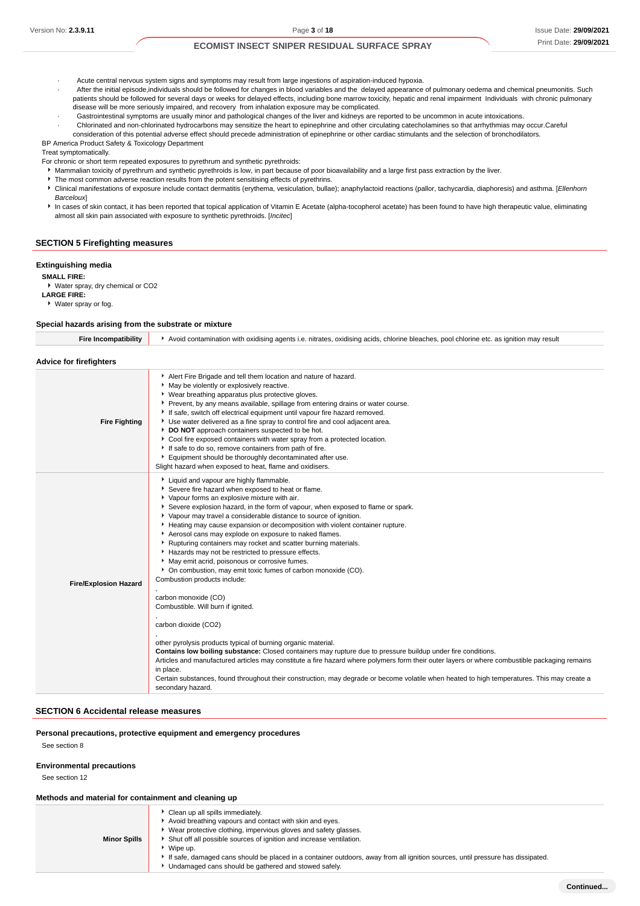- · Acute central nervous system signs and symptoms may result from large ingestions of aspiration-induced hypoxia.
- · After the initial episode,individuals should be followed for changes in blood variables and the delayed appearance of pulmonary oedema and chemical pneumonitis. Such patients should be followed for several days or weeks for delayed effects, including bone marrow toxicity, hepatic and renal impairment Individuals with chronic pulmonary disease will be more seriously impaired, and recovery from inhalation exposure may be complicated.
- · Gastrointestinal symptoms are usually minor and pathological changes of the liver and kidneys are reported to be uncommon in acute intoxications.
- · Chlorinated and non-chlorinated hydrocarbons may sensitize the heart to epinephrine and other circulating catecholamines so that arrhythmias may occur.Careful
- consideration of this potential adverse effect should precede administration of epinephrine or other cardiac stimulants and the selection of bronchodilators. BP America Product Safety & Toxicology Department

Treat symptomatically.

- For chronic or short term repeated exposures to pyrethrum and synthetic pyrethroids:
- Mammalian toxicity of pyrethrum and synthetic pyrethroids is low, in part because of poor bioavailability and a large first pass extraction by the liver.
- **F** The most common adverse reaction results from the potent sensitising effects of pyrethrins.
- ▶ Clinical manifestations of exposure include contact dermatitis (erythema, vesiculation, bullae); anaphylactoid reactions (pallor, tachycardia, diaphoresis) and asthma. [Ellenhorn **Barcelouvl**
- In cases of skin contact, it has been reported that topical application of Vitamin E Acetate (alpha-tocopherol acetate) has been found to have high therapeutic value, eliminating almost all skin pain associated with exposure to synthetic pyrethroids. [*Incitec*]

## **SECTION 5 Firefighting measures**

### **Extinguishing media**

**SMALL FIRE:**

Water spray, dry chemical or CO2 **LARGE FIRE:** Water spray or fog.

#### **Special hazards arising from the substrate or mixture**

| <b>Fire Incompatibility</b> | Avoid contamination with oxidising agents i.e. nitrates, oxidising acids, chlorine bleaches, pool chlorine etc. as ignition may result |
|-----------------------------|----------------------------------------------------------------------------------------------------------------------------------------|
| Advice for firefighters     |                                                                                                                                        |
|                             | Alert Fire Brigade and tell them location and nature of hazard.                                                                        |
|                             | • May be violently or explosively reactive.<br>▶ Wear breathing apparatus plus protective gloves.                                      |
|                             | ▶ Prevent, by any means available, spillage from entering drains or water course.                                                      |
|                             | If safe, switch off electrical equipment until vapour fire hazard removed.                                                             |
| <b>Fire Fighting</b>        | ► Use water delivered as a fine spray to control fire and cool adjacent area.                                                          |
|                             | DO NOT approach containers suspected to be hot.                                                                                        |
|                             | Cool fire exposed containers with water spray from a protected location.                                                               |
|                             | If safe to do so, remove containers from path of fire.                                                                                 |

|                              | Equipment should be thoroughly decontaminated after use.<br>Slight hazard when exposed to heat, flame and oxidisers.                                                                                                                                                                                                                                                                                                                                                                                                                                                                                                                                                                                                                                                                                                                                                                                                                                                                                                                                                                                                                                                                                                                                                                                                                |
|------------------------------|-------------------------------------------------------------------------------------------------------------------------------------------------------------------------------------------------------------------------------------------------------------------------------------------------------------------------------------------------------------------------------------------------------------------------------------------------------------------------------------------------------------------------------------------------------------------------------------------------------------------------------------------------------------------------------------------------------------------------------------------------------------------------------------------------------------------------------------------------------------------------------------------------------------------------------------------------------------------------------------------------------------------------------------------------------------------------------------------------------------------------------------------------------------------------------------------------------------------------------------------------------------------------------------------------------------------------------------|
| <b>Fire/Explosion Hazard</b> | Liquid and vapour are highly flammable.<br>Severe fire hazard when exposed to heat or flame.<br>• Vapour forms an explosive mixture with air.<br>Severe explosion hazard, in the form of vapour, when exposed to flame or spark.<br>▶ Vapour may travel a considerable distance to source of ignition.<br>Heating may cause expansion or decomposition with violent container rupture.<br>Aerosol cans may explode on exposure to naked flames.<br>Rupturing containers may rocket and scatter burning materials.<br>Hazards may not be restricted to pressure effects.<br>May emit acrid, poisonous or corrosive fumes.<br>• On combustion, may emit toxic fumes of carbon monoxide (CO).<br>Combustion products include:<br>carbon monoxide (CO)<br>Combustible. Will burn if ignited.<br>carbon dioxide (CO2)<br>other pyrolysis products typical of burning organic material.<br>Contains low boiling substance: Closed containers may rupture due to pressure buildup under fire conditions.<br>Articles and manufactured articles may constitute a fire hazard where polymers form their outer layers or where combustible packaging remains<br>in place.<br>Certain substances, found throughout their construction, may degrade or become volatile when heated to high temperatures. This may create a<br>secondary hazard. |

### **SECTION 6 Accidental release measures**

**Personal precautions, protective equipment and emergency procedures** See section 8

#### **Environmental precautions**

See section 12

#### **Methods and material for containment and cleaning up**

| <b>Minor Spills</b> | Avoid breathing vapours and contact with skin and eyes.<br>Wear protective clothing, impervious gloves and safety glasses.<br>Shut off all possible sources of ignition and increase ventilation.<br>Wipe up.<br>If safe, damaged cans should be placed in a container outdoors, away from all ignition sources, until pressure has dissipated.<br>Undamaged cans should be gathered and stowed safely. |
|---------------------|---------------------------------------------------------------------------------------------------------------------------------------------------------------------------------------------------------------------------------------------------------------------------------------------------------------------------------------------------------------------------------------------------------|
|                     | Clean up all spills immediately.                                                                                                                                                                                                                                                                                                                                                                        |
|                     |                                                                                                                                                                                                                                                                                                                                                                                                         |
|                     |                                                                                                                                                                                                                                                                                                                                                                                                         |
|                     |                                                                                                                                                                                                                                                                                                                                                                                                         |
|                     |                                                                                                                                                                                                                                                                                                                                                                                                         |
|                     |                                                                                                                                                                                                                                                                                                                                                                                                         |
|                     |                                                                                                                                                                                                                                                                                                                                                                                                         |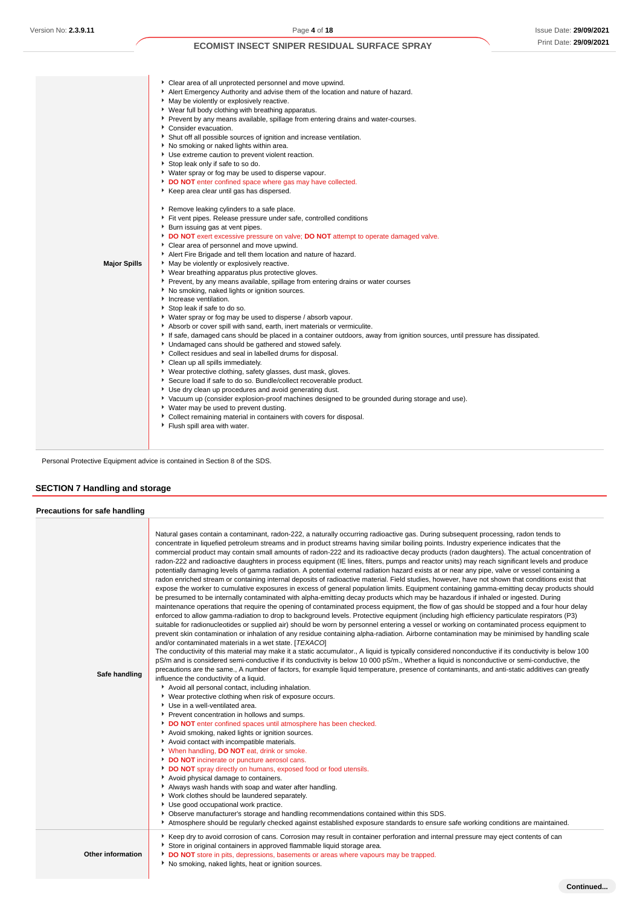**Continued...**

## **ECOMIST INSECT SNIPER RESIDUAL SURFACE SPRAY**

| <b>Major Spills</b> | Clear area of all unprotected personnel and move upwind.<br>Alert Emergency Authority and advise them of the location and nature of hazard.<br>• May be violently or explosively reactive.<br>▶ Wear full body clothing with breathing apparatus.<br>Prevent by any means available, spillage from entering drains and water-courses.<br>Consider evacuation.<br>Shut off all possible sources of ignition and increase ventilation.<br>▶ No smoking or naked lights within area.<br>Use extreme caution to prevent violent reaction.<br>Stop leak only if safe to so do.<br>▶ Water spray or fog may be used to disperse vapour.<br>DO NOT enter confined space where gas may have collected.<br>▶ Keep area clear until gas has dispersed.<br>Remove leaking cylinders to a safe place.<br>Fit vent pipes. Release pressure under safe, controlled conditions<br>▶ Burn issuing gas at vent pipes.<br>DO NOT exert excessive pressure on valve; DO NOT attempt to operate damaged valve.<br>Clear area of personnel and move upwind.<br>Alert Fire Brigade and tell them location and nature of hazard.<br>• May be violently or explosively reactive.<br>▶ Wear breathing apparatus plus protective gloves.<br>Prevent, by any means available, spillage from entering drains or water courses<br>No smoking, naked lights or ignition sources.<br>Increase ventilation.<br>Stop leak if safe to do so.<br>• Water spray or fog may be used to disperse / absorb vapour.<br>Absorb or cover spill with sand, earth, inert materials or vermiculite.<br>If safe, damaged cans should be placed in a container outdoors, away from ignition sources, until pressure has dissipated.<br>• Undamaged cans should be gathered and stowed safely.<br>Collect residues and seal in labelled drums for disposal.<br>Clean up all spills immediately.<br>• Wear protective clothing, safety glasses, dust mask, gloves.<br>Secure load if safe to do so. Bundle/collect recoverable product.<br>• Use dry clean up procedures and avoid generating dust.<br>▶ Vacuum up (consider explosion-proof machines designed to be grounded during storage and use).<br>▶ Water may be used to prevent dusting.<br>• Collect remaining material in containers with covers for disposal.<br>Flush spill area with water. |
|---------------------|----------------------------------------------------------------------------------------------------------------------------------------------------------------------------------------------------------------------------------------------------------------------------------------------------------------------------------------------------------------------------------------------------------------------------------------------------------------------------------------------------------------------------------------------------------------------------------------------------------------------------------------------------------------------------------------------------------------------------------------------------------------------------------------------------------------------------------------------------------------------------------------------------------------------------------------------------------------------------------------------------------------------------------------------------------------------------------------------------------------------------------------------------------------------------------------------------------------------------------------------------------------------------------------------------------------------------------------------------------------------------------------------------------------------------------------------------------------------------------------------------------------------------------------------------------------------------------------------------------------------------------------------------------------------------------------------------------------------------------------------------------------------------------------------------------------------------------------------------------------------------------------------------------------------------------------------------------------------------------------------------------------------------------------------------------------------------------------------------------------------------------------------------------------------------------------------------------------------------------------------------------------------------------------------------------|
|---------------------|----------------------------------------------------------------------------------------------------------------------------------------------------------------------------------------------------------------------------------------------------------------------------------------------------------------------------------------------------------------------------------------------------------------------------------------------------------------------------------------------------------------------------------------------------------------------------------------------------------------------------------------------------------------------------------------------------------------------------------------------------------------------------------------------------------------------------------------------------------------------------------------------------------------------------------------------------------------------------------------------------------------------------------------------------------------------------------------------------------------------------------------------------------------------------------------------------------------------------------------------------------------------------------------------------------------------------------------------------------------------------------------------------------------------------------------------------------------------------------------------------------------------------------------------------------------------------------------------------------------------------------------------------------------------------------------------------------------------------------------------------------------------------------------------------------------------------------------------------------------------------------------------------------------------------------------------------------------------------------------------------------------------------------------------------------------------------------------------------------------------------------------------------------------------------------------------------------------------------------------------------------------------------------------------------------|

Personal Protective Equipment advice is contained in Section 8 of the SDS.

## **SECTION 7 Handling and storage**

| <b>Precautions for safe handling</b> |                                                                                                                                                                                                                                                                                                                                                                                                                                                                                                                                                                                                                                                                                                                                                                                                                                                                                                                                                                                                                                                                                                                                                                                                                                                                                                                                                                                                                                                                                                                                                                                                                                                                                                                                                                                                                                                                                                                                                                                                                                                                                                                                                                                                                                                                                                                                                                                                                                                                                                                                                                                                                                                                                                                                                                                                                                                                                                                                                                                                                                                                                                                                                                                                                                                                                                             |
|--------------------------------------|-------------------------------------------------------------------------------------------------------------------------------------------------------------------------------------------------------------------------------------------------------------------------------------------------------------------------------------------------------------------------------------------------------------------------------------------------------------------------------------------------------------------------------------------------------------------------------------------------------------------------------------------------------------------------------------------------------------------------------------------------------------------------------------------------------------------------------------------------------------------------------------------------------------------------------------------------------------------------------------------------------------------------------------------------------------------------------------------------------------------------------------------------------------------------------------------------------------------------------------------------------------------------------------------------------------------------------------------------------------------------------------------------------------------------------------------------------------------------------------------------------------------------------------------------------------------------------------------------------------------------------------------------------------------------------------------------------------------------------------------------------------------------------------------------------------------------------------------------------------------------------------------------------------------------------------------------------------------------------------------------------------------------------------------------------------------------------------------------------------------------------------------------------------------------------------------------------------------------------------------------------------------------------------------------------------------------------------------------------------------------------------------------------------------------------------------------------------------------------------------------------------------------------------------------------------------------------------------------------------------------------------------------------------------------------------------------------------------------------------------------------------------------------------------------------------------------------------------------------------------------------------------------------------------------------------------------------------------------------------------------------------------------------------------------------------------------------------------------------------------------------------------------------------------------------------------------------------------------------------------------------------------------------------------------------------|
| Safe handling                        | Natural gases contain a contaminant, radon-222, a naturally occurring radioactive gas. During subsequent processing, radon tends to<br>concentrate in liquefied petroleum streams and in product streams having similar boiling points. Industry experience indicates that the<br>commercial product may contain small amounts of radon-222 and its radioactive decay products (radon daughters). The actual concentration of<br>radon-222 and radioactive daughters in process equipment (IE lines, filters, pumps and reactor units) may reach significant levels and produce<br>potentially damaging levels of gamma radiation. A potential external radiation hazard exists at or near any pipe, valve or vessel containing a<br>radon enriched stream or containing internal deposits of radioactive material. Field studies, however, have not shown that conditions exist that<br>expose the worker to cumulative exposures in excess of general population limits. Equipment containing gamma-emitting decay products should<br>be presumed to be internally contaminated with alpha-emitting decay products which may be hazardous if inhaled or ingested. During<br>maintenance operations that require the opening of contaminated process equipment, the flow of gas should be stopped and a four hour delay<br>enforced to allow gamma-radiation to drop to background levels. Protective equipment (including high efficiency particulate respirators (P3)<br>suitable for radionucleotides or supplied air) should be worn by personnel entering a vessel or working on contaminated process equipment to<br>prevent skin contamination or inhalation of any residue containing alpha-radiation. Airborne contamination may be minimised by handling scale<br>and/or contaminated materials in a wet state. [TEXACO]<br>The conductivity of this material may make it a static accumulator., A liquid is typically considered nonconductive if its conductivity is below 100<br>pS/m and is considered semi-conductive if its conductivity is below 10 000 pS/m., Whether a liquid is nonconductive or semi-conductive, the<br>precautions are the same., A number of factors, for example liquid temperature, presence of contaminants, and anti-static additives can greatly<br>influence the conductivity of a liquid.<br>Avoid all personal contact, including inhalation.<br>• Wear protective clothing when risk of exposure occurs.<br>Use in a well-ventilated area.<br>Prevent concentration in hollows and sumps.<br>DO NOT enter confined spaces until atmosphere has been checked.<br>Avoid smoking, naked lights or ignition sources.<br>Avoid contact with incompatible materials.<br>V When handling, DO NOT eat, drink or smoke.<br>DO NOT incinerate or puncture aerosol cans.<br>DO NOT spray directly on humans, exposed food or food utensils.<br>Avoid physical damage to containers.<br>Always wash hands with soap and water after handling.<br>▶ Work clothes should be laundered separately.<br>Use good occupational work practice.<br>▶ Observe manufacturer's storage and handling recommendations contained within this SDS.<br>Atmosphere should be regularly checked against established exposure standards to ensure safe working conditions are maintained. |
| <b>Other information</b>             | ▶ Keep dry to avoid corrosion of cans. Corrosion may result in container perforation and internal pressure may eject contents of can<br>Store in original containers in approved flammable liquid storage area.<br>DO NOT store in pits, depressions, basements or areas where vapours may be trapped.<br>No smoking, naked lights, heat or ignition sources.                                                                                                                                                                                                                                                                                                                                                                                                                                                                                                                                                                                                                                                                                                                                                                                                                                                                                                                                                                                                                                                                                                                                                                                                                                                                                                                                                                                                                                                                                                                                                                                                                                                                                                                                                                                                                                                                                                                                                                                                                                                                                                                                                                                                                                                                                                                                                                                                                                                                                                                                                                                                                                                                                                                                                                                                                                                                                                                                               |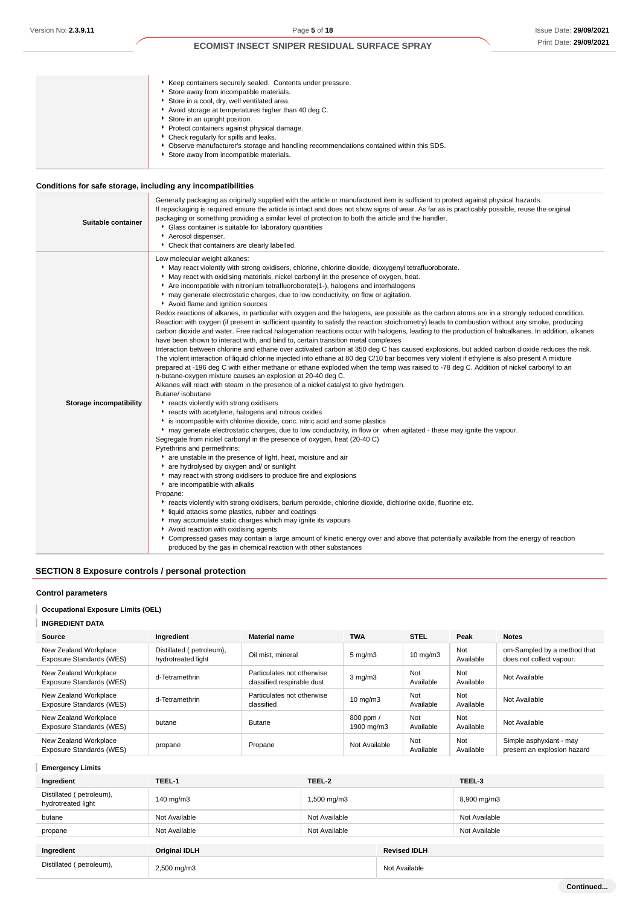|                                                              | Keep containers securely sealed. Contents under pressure.<br>Store away from incompatible materials.<br>Store in a cool, dry, well ventilated area.<br>Avoid storage at temperatures higher than 40 deg C.<br>Store in an upright position.<br>Protect containers against physical damage.<br>Check regularly for spills and leaks.<br>▶ Observe manufacturer's storage and handling recommendations contained within this SDS.<br>Store away from incompatible materials.                                                                                                                                                                                                                                                                                                                                                                                                                                                                                                                                                                                                                                                                                                                                                                                                                                                                                                                                                                                                                                                                                                                                                                                                                                                                                                                                                                                                                                                                                                                                                                                                                                                                                                                                                                                                                                                                                                                                                                                                                                                                                                                                                                                                                                                                                |
|--------------------------------------------------------------|-----------------------------------------------------------------------------------------------------------------------------------------------------------------------------------------------------------------------------------------------------------------------------------------------------------------------------------------------------------------------------------------------------------------------------------------------------------------------------------------------------------------------------------------------------------------------------------------------------------------------------------------------------------------------------------------------------------------------------------------------------------------------------------------------------------------------------------------------------------------------------------------------------------------------------------------------------------------------------------------------------------------------------------------------------------------------------------------------------------------------------------------------------------------------------------------------------------------------------------------------------------------------------------------------------------------------------------------------------------------------------------------------------------------------------------------------------------------------------------------------------------------------------------------------------------------------------------------------------------------------------------------------------------------------------------------------------------------------------------------------------------------------------------------------------------------------------------------------------------------------------------------------------------------------------------------------------------------------------------------------------------------------------------------------------------------------------------------------------------------------------------------------------------------------------------------------------------------------------------------------------------------------------------------------------------------------------------------------------------------------------------------------------------------------------------------------------------------------------------------------------------------------------------------------------------------------------------------------------------------------------------------------------------------------------------------------------------------------------------------------------------|
| Conditions for safe storage, including any incompatibilities |                                                                                                                                                                                                                                                                                                                                                                                                                                                                                                                                                                                                                                                                                                                                                                                                                                                                                                                                                                                                                                                                                                                                                                                                                                                                                                                                                                                                                                                                                                                                                                                                                                                                                                                                                                                                                                                                                                                                                                                                                                                                                                                                                                                                                                                                                                                                                                                                                                                                                                                                                                                                                                                                                                                                                           |
| Suitable container                                           | Generally packaging as originally supplied with the article or manufactured item is sufficient to protect against physical hazards.<br>If repackaging is required ensure the article is intact and does not show signs of wear. As far as is practicably possible, reuse the original<br>packaging or something providing a similar level of protection to both the article and the handler.<br>Glass container is suitable for laboratory quantities<br>Aerosol dispenser.<br>• Check that containers are clearly labelled.                                                                                                                                                                                                                                                                                                                                                                                                                                                                                                                                                                                                                                                                                                                                                                                                                                                                                                                                                                                                                                                                                                                                                                                                                                                                                                                                                                                                                                                                                                                                                                                                                                                                                                                                                                                                                                                                                                                                                                                                                                                                                                                                                                                                                              |
| Storage incompatibility                                      | Low molecular weight alkanes:<br>May react violently with strong oxidisers, chlorine, chlorine dioxide, dioxygenyl tetrafluoroborate.<br>• May react with oxidising materials, nickel carbonyl in the presence of oxygen, heat.<br>Are incompatible with nitronium tetrafluoroborate(1-), halogens and interhalogens<br>may generate electrostatic charges, due to low conductivity, on flow or agitation.<br>Avoid flame and ignition sources<br>Redox reactions of alkanes, in particular with oxygen and the halogens, are possible as the carbon atoms are in a strongly reduced condition.<br>Reaction with oxygen (if present in sufficient quantity to satisfy the reaction stoichiometry) leads to combustion without any smoke, producing<br>carbon dioxide and water. Free radical halogenation reactions occur with halogens, leading to the production of haloalkanes. In addition, alkanes<br>have been shown to interact with, and bind to, certain transition metal complexes<br>Interaction between chlorine and ethane over activated carbon at 350 deg C has caused explosions, but added carbon dioxide reduces the risk.<br>The violent interaction of liquid chlorine injected into ethane at 80 deg C/10 bar becomes very violent if ethylene is also present A mixture<br>prepared at -196 deg C with either methane or ethane exploded when the temp was raised to -78 deg C. Addition of nickel carbonyl to an<br>n-butane-oxygen mixture causes an explosion at 20-40 deg C.<br>Alkanes will react with steam in the presence of a nickel catalyst to give hydrogen.<br>Butane/ isobutane<br>reacts violently with strong oxidisers<br>reacts with acetylene, halogens and nitrous oxides<br>is incompatible with chlorine dioxide, conc. nitric acid and some plastics<br>If may generate electrostatic charges, due to low conductivity, in flow or when agitated - these may ignite the vapour.<br>Segregate from nickel carbonyl in the presence of oxygen, heat (20-40 C)<br>Pyrethrins and permethrins:<br>are unstable in the presence of light, heat, moisture and air<br>are hydrolysed by oxygen and/ or sunlight<br>may react with strong oxidisers to produce fire and explosions<br>are incompatible with alkalis<br>Propane:<br>Freacts violently with strong oxidisers, barium peroxide, chlorine dioxide, dichlorine oxide, fluorine etc.<br>liquid attacks some plastics, rubber and coatings<br>may accumulate static charges which may ignite its vapours<br>Avoid reaction with oxidising agents<br>▶ Compressed gases may contain a large amount of kinetic energy over and above that potentially available from the energy of reaction<br>produced by the gas in chemical reaction with other substances |

## **SECTION 8 Exposure controls / personal protection**

## **Control parameters**

## **Occupational Exposure Limits (OEL)**

## **INGREDIENT DATA**

| Source                                            | Ingredient                                     | <b>Material name</b>                                     | <b>TWA</b>                  | <b>STEL</b>       | Peak             | <b>Notes</b>                                            |
|---------------------------------------------------|------------------------------------------------|----------------------------------------------------------|-----------------------------|-------------------|------------------|---------------------------------------------------------|
| New Zealand Workplace<br>Exposure Standards (WES) | Distillated (petroleum),<br>hydrotreated light | Oil mist, mineral                                        | $5 \text{ mg/m}$            | $10 \text{ mg/m}$ | Not<br>Available | om-Sampled by a method that<br>does not collect vapour. |
| New Zealand Workplace<br>Exposure Standards (WES) | d-Tetramethrin                                 | Particulates not otherwise<br>classified respirable dust | 3 mg/m3                     | Not<br>Available  | Not<br>Available | Not Available                                           |
| New Zealand Workplace<br>Exposure Standards (WES) | d-Tetramethrin                                 | Particulates not otherwise<br>classified                 | $10 \text{ mg/m}$           | Not<br>Available  | Not<br>Available | Not Available                                           |
| New Zealand Workplace<br>Exposure Standards (WES) | butane                                         | <b>Butane</b>                                            | $800$ ppm $/$<br>1900 mg/m3 | Not<br>Available  | Not<br>Available | Not Available                                           |
| New Zealand Workplace<br>Exposure Standards (WES) | propane                                        | Propane                                                  | Not Available               | Not<br>Available  | Not<br>Available | Simple asphyxiant - may<br>present an explosion hazard  |

### **Emergency Limits**

| Ingredient                                     | TEEL-1               | TEEL-2        |                     | TEEL-3        |
|------------------------------------------------|----------------------|---------------|---------------------|---------------|
| Distillated (petroleum),<br>hydrotreated light | 140 mg/m3            | 1,500 mg/m3   |                     | 8,900 mg/m3   |
| butane                                         | Not Available        | Not Available |                     | Not Available |
| propane                                        | Not Available        | Not Available |                     | Not Available |
|                                                |                      |               |                     |               |
| Ingredient                                     | <b>Original IDLH</b> |               | <b>Revised IDLH</b> |               |
| Distillated (petroleum),                       | 2,500 mg/m3          |               | Not Available       |               |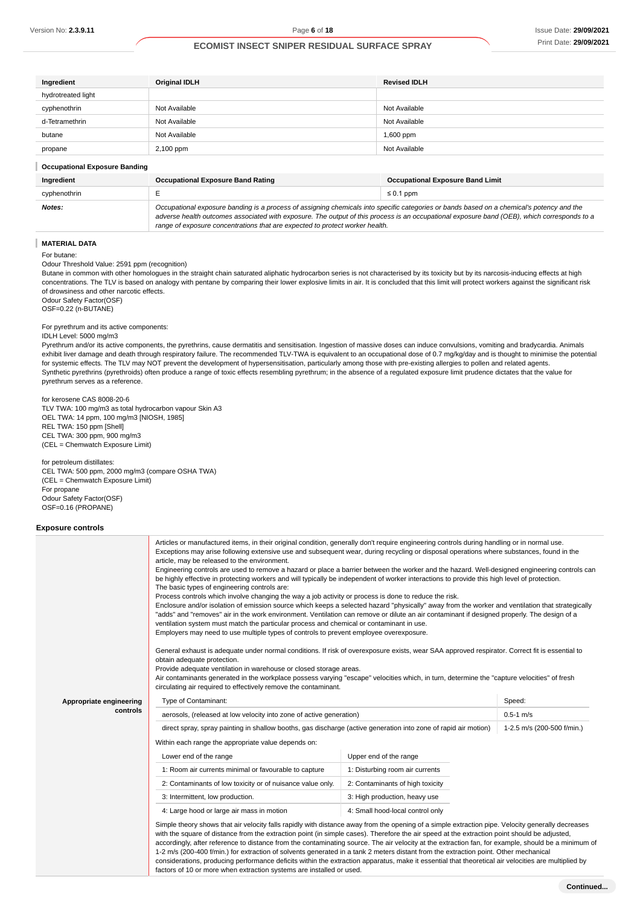| Ingredient                           | <b>Original IDLH</b>                                                                                                                                                                                                                    | <b>Revised IDLH</b>                     |
|--------------------------------------|-----------------------------------------------------------------------------------------------------------------------------------------------------------------------------------------------------------------------------------------|-----------------------------------------|
| hydrotreated light                   |                                                                                                                                                                                                                                         |                                         |
| cyphenothrin                         | Not Available                                                                                                                                                                                                                           | Not Available                           |
| d-Tetramethrin                       | Not Available                                                                                                                                                                                                                           | Not Available                           |
| butane                               | Not Available                                                                                                                                                                                                                           | 1,600 ppm                               |
| propane                              | 2,100 ppm                                                                                                                                                                                                                               | Not Available                           |
| <b>Occupational Exposure Banding</b> |                                                                                                                                                                                                                                         |                                         |
| Ingredient                           | <b>Occupational Exposure Band Rating</b>                                                                                                                                                                                                | <b>Occupational Exposure Band Limit</b> |
| cyphenothrin                         | Е                                                                                                                                                                                                                                       | $\leq 0.1$ ppm                          |
| $\mathbf{A}$ . $\mathbf{A}$          | $\bigtriangleup$ . The contract of the protocol contract of the contract of the contract of the contract of the contract of the contract of the contract of the contract of the contract of the contract of the contract of the contrac |                                         |

**Notes: Cocupational exposure banding is a process of assigning chemicals into specific categories or bands based on a chemical's potency and the <b>Notes**: adverse health outcomes associated with exposure. The output of this process is an occupational exposure band (OEB), which corresponds to a range of exposure concentrations that are expected to protect worker health.

## **MATERIAL DATA**

For butane:

Odour Threshold Value: 2591 ppm (recognition)

Butane in common with other homologues in the straight chain saturated aliphatic hydrocarbon series is not characterised by its toxicity but by its narcosis-inducing effects at high concentrations. The TLV is based on analogy with pentane by comparing their lower explosive limits in air. It is concluded that this limit will protect workers against the significant risk of drowsiness and other narcotic effects.

Odour Safety Factor(OSF)

OSF=0.22 (n-BUTANE)

For pyrethrum and its active components:

#### IDLH Level: 5000 mg/m3

Pyrethrum and/or its active components, the pyrethrins, cause dermatitis and sensitisation. Ingestion of massive doses can induce convulsions, vomiting and bradycardia. Animals exhibit liver damage and death through respiratory failure. The recommended TLV-TWA is equivalent to an occupational dose of 0.7 mg/kg/day and is thought to minimise the potential for systemic effects. The TLV may NOT prevent the development of hypersensitisation, particularly among those with pre-existing allergies to pollen and related agents. Synthetic pyrethrins (pyrethroids) often produce a range of toxic effects resembling pyrethrum; in the absence of a regulated exposure limit prudence dictates that the value for pyrethrum serves as a reference.

### for kerosene CAS 8008-20-6

TLV TWA: 100 mg/m3 as total hydrocarbon vapour Skin A3 OEL TWA: 14 ppm, 100 mg/m3 [NIOSH, 1985] REL TWA: 150 ppm [Shell] CEL TWA: 300 ppm, 900 mg/m3 (CEL = Chemwatch Exposure Limit)

for petroleum distillates: CEL TWA: 500 ppm, 2000 mg/m3 (compare OSHA TWA) (CEL = Chemwatch Exposure Limit) For propane Odour Safety Factor(OSF) OSF=0.16 (PROPANE)

### **Exposure controls**

|                         | Articles or manufactured items, in their original condition, generally don't require engineering controls during handling or in normal use.<br>Exceptions may arise following extensive use and subsequent wear, during recycling or disposal operations where substances, found in the<br>article, may be released to the environment.<br>Engineering controls are used to remove a hazard or place a barrier between the worker and the hazard. Well-designed engineering controls can<br>be highly effective in protecting workers and will typically be independent of worker interactions to provide this high level of protection.<br>The basic types of engineering controls are:<br>Process controls which involve changing the way a job activity or process is done to reduce the risk.<br>Enclosure and/or isolation of emission source which keeps a selected hazard "physically" away from the worker and ventilation that strategically<br>"adds" and "removes" air in the work environment. Ventilation can remove or dilute an air contaminant if designed properly. The design of a<br>ventilation system must match the particular process and chemical or contaminant in use.<br>Employers may need to use multiple types of controls to prevent employee overexposure.<br>General exhaust is adequate under normal conditions. If risk of overexposure exists, wear SAA approved respirator. Correct fit is essential to<br>obtain adequate protection.<br>Provide adequate ventilation in warehouse or closed storage areas.<br>Air contaminants generated in the workplace possess varying "escape" velocities which, in turn, determine the "capture velocities" of fresh<br>circulating air required to effectively remove the contaminant. |                                  |               |  |
|-------------------------|---------------------------------------------------------------------------------------------------------------------------------------------------------------------------------------------------------------------------------------------------------------------------------------------------------------------------------------------------------------------------------------------------------------------------------------------------------------------------------------------------------------------------------------------------------------------------------------------------------------------------------------------------------------------------------------------------------------------------------------------------------------------------------------------------------------------------------------------------------------------------------------------------------------------------------------------------------------------------------------------------------------------------------------------------------------------------------------------------------------------------------------------------------------------------------------------------------------------------------------------------------------------------------------------------------------------------------------------------------------------------------------------------------------------------------------------------------------------------------------------------------------------------------------------------------------------------------------------------------------------------------------------------------------------------------------------------------------------------------------------------------------------|----------------------------------|---------------|--|
| Appropriate engineering | Type of Contaminant:                                                                                                                                                                                                                                                                                                                                                                                                                                                                                                                                                                                                                                                                                                                                                                                                                                                                                                                                                                                                                                                                                                                                                                                                                                                                                                                                                                                                                                                                                                                                                                                                                                                                                                                                                |                                  | Speed:        |  |
| controls                | aerosols, (released at low velocity into zone of active generation)                                                                                                                                                                                                                                                                                                                                                                                                                                                                                                                                                                                                                                                                                                                                                                                                                                                                                                                                                                                                                                                                                                                                                                                                                                                                                                                                                                                                                                                                                                                                                                                                                                                                                                 |                                  | $0.5 - 1$ m/s |  |
|                         | direct spray, spray painting in shallow booths, gas discharge (active generation into zone of rapid air motion)                                                                                                                                                                                                                                                                                                                                                                                                                                                                                                                                                                                                                                                                                                                                                                                                                                                                                                                                                                                                                                                                                                                                                                                                                                                                                                                                                                                                                                                                                                                                                                                                                                                     | 1-2.5 m/s (200-500 f/min.)       |               |  |
|                         | Within each range the appropriate value depends on:                                                                                                                                                                                                                                                                                                                                                                                                                                                                                                                                                                                                                                                                                                                                                                                                                                                                                                                                                                                                                                                                                                                                                                                                                                                                                                                                                                                                                                                                                                                                                                                                                                                                                                                 |                                  |               |  |
|                         | Lower end of the range                                                                                                                                                                                                                                                                                                                                                                                                                                                                                                                                                                                                                                                                                                                                                                                                                                                                                                                                                                                                                                                                                                                                                                                                                                                                                                                                                                                                                                                                                                                                                                                                                                                                                                                                              | Upper end of the range           |               |  |
|                         | 1: Room air currents minimal or favourable to capture                                                                                                                                                                                                                                                                                                                                                                                                                                                                                                                                                                                                                                                                                                                                                                                                                                                                                                                                                                                                                                                                                                                                                                                                                                                                                                                                                                                                                                                                                                                                                                                                                                                                                                               | 1: Disturbing room air currents  |               |  |
|                         | 2: Contaminants of low toxicity or of nuisance value only.                                                                                                                                                                                                                                                                                                                                                                                                                                                                                                                                                                                                                                                                                                                                                                                                                                                                                                                                                                                                                                                                                                                                                                                                                                                                                                                                                                                                                                                                                                                                                                                                                                                                                                          | 2: Contaminants of high toxicity |               |  |
|                         | 3: Intermittent, low production.                                                                                                                                                                                                                                                                                                                                                                                                                                                                                                                                                                                                                                                                                                                                                                                                                                                                                                                                                                                                                                                                                                                                                                                                                                                                                                                                                                                                                                                                                                                                                                                                                                                                                                                                    | 3: High production, heavy use    |               |  |
|                         | 4: Large hood or large air mass in motion                                                                                                                                                                                                                                                                                                                                                                                                                                                                                                                                                                                                                                                                                                                                                                                                                                                                                                                                                                                                                                                                                                                                                                                                                                                                                                                                                                                                                                                                                                                                                                                                                                                                                                                           | 4: Small hood-local control only |               |  |
|                         | Simple theory shows that air velocity falls rapidly with distance away from the opening of a simple extraction pipe. Velocity generally decreases<br>with the square of distance from the extraction point (in simple cases). Therefore the air speed at the extraction point should be adjusted,<br>accordingly, after reference to distance from the contaminating source. The air velocity at the extraction fan, for example, should be a minimum of<br>1-2 m/s (200-400 f/min.) for extraction of solvents generated in a tank 2 meters distant from the extraction point. Other mechanical<br>considerations, producing performance deficits within the extraction apparatus, make it essential that theoretical air velocities are multiplied by                                                                                                                                                                                                                                                                                                                                                                                                                                                                                                                                                                                                                                                                                                                                                                                                                                                                                                                                                                                                             |                                  |               |  |

factors of 10 or more when extraction systems are installed or used.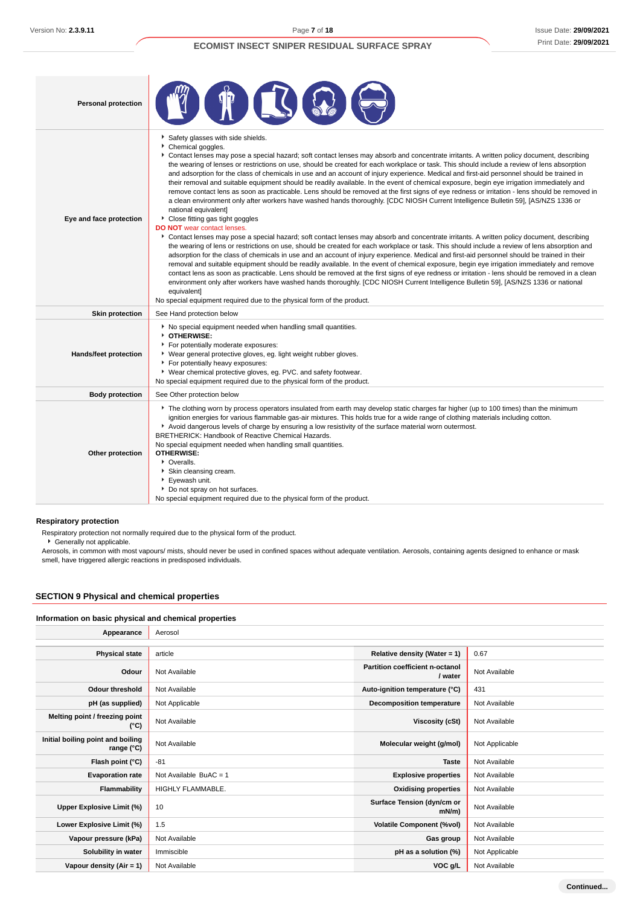| <b>Personal protection</b> |                                                                                                                                                                                                                                                                                                                                                                                                                                                                                                                                                                                                                                                                                                                                                                                                                                                                                                                                                                                                                                                                                                                                                                                                                                                                                                                                                                                                                                                                                                                                                                                                                                                                                                                                                                                                                                                                                                                                                                                                                         |
|----------------------------|-------------------------------------------------------------------------------------------------------------------------------------------------------------------------------------------------------------------------------------------------------------------------------------------------------------------------------------------------------------------------------------------------------------------------------------------------------------------------------------------------------------------------------------------------------------------------------------------------------------------------------------------------------------------------------------------------------------------------------------------------------------------------------------------------------------------------------------------------------------------------------------------------------------------------------------------------------------------------------------------------------------------------------------------------------------------------------------------------------------------------------------------------------------------------------------------------------------------------------------------------------------------------------------------------------------------------------------------------------------------------------------------------------------------------------------------------------------------------------------------------------------------------------------------------------------------------------------------------------------------------------------------------------------------------------------------------------------------------------------------------------------------------------------------------------------------------------------------------------------------------------------------------------------------------------------------------------------------------------------------------------------------------|
| Eye and face protection    | Safety glasses with side shields.<br>Chemical goggles.<br>Contact lenses may pose a special hazard; soft contact lenses may absorb and concentrate irritants. A written policy document, describing<br>the wearing of lenses or restrictions on use, should be created for each workplace or task. This should include a review of lens absorption<br>and adsorption for the class of chemicals in use and an account of injury experience. Medical and first-aid personnel should be trained in<br>their removal and suitable equipment should be readily available. In the event of chemical exposure, begin eye irrigation immediately and<br>remove contact lens as soon as practicable. Lens should be removed at the first signs of eye redness or irritation - lens should be removed in<br>a clean environment only after workers have washed hands thoroughly. [CDC NIOSH Current Intelligence Bulletin 59], [AS/NZS 1336 or<br>national equivalent]<br>• Close fitting gas tight goggles<br><b>DO NOT</b> wear contact lenses.<br>Contact lenses may pose a special hazard; soft contact lenses may absorb and concentrate irritants. A written policy document, describing<br>the wearing of lens or restrictions on use, should be created for each workplace or task. This should include a review of lens absorption and<br>adsorption for the class of chemicals in use and an account of injury experience. Medical and first-aid personnel should be trained in their<br>removal and suitable equipment should be readily available. In the event of chemical exposure, begin eye irrigation immediately and remove<br>contact lens as soon as practicable. Lens should be removed at the first signs of eye redness or irritation - lens should be removed in a clean<br>environment only after workers have washed hands thoroughly. [CDC NIOSH Current Intelligence Bulletin 59], [AS/NZS 1336 or national<br>equivalent]<br>No special equipment required due to the physical form of the product. |
| <b>Skin protection</b>     | See Hand protection below                                                                                                                                                                                                                                                                                                                                                                                                                                                                                                                                                                                                                                                                                                                                                                                                                                                                                                                                                                                                                                                                                                                                                                                                                                                                                                                                                                                                                                                                                                                                                                                                                                                                                                                                                                                                                                                                                                                                                                                               |
| Hands/feet protection      | No special equipment needed when handling small quantities.<br><b>DIHERWISE:</b><br>For potentially moderate exposures:<br>▶ Wear general protective gloves, eg. light weight rubber gloves.<br>For potentially heavy exposures:<br>▶ Wear chemical protective gloves, eg. PVC. and safety footwear.<br>No special equipment required due to the physical form of the product.                                                                                                                                                                                                                                                                                                                                                                                                                                                                                                                                                                                                                                                                                                                                                                                                                                                                                                                                                                                                                                                                                                                                                                                                                                                                                                                                                                                                                                                                                                                                                                                                                                          |
| <b>Body protection</b>     | See Other protection below                                                                                                                                                                                                                                                                                                                                                                                                                                                                                                                                                                                                                                                                                                                                                                                                                                                                                                                                                                                                                                                                                                                                                                                                                                                                                                                                                                                                                                                                                                                                                                                                                                                                                                                                                                                                                                                                                                                                                                                              |
| Other protection           | The clothing worn by process operators insulated from earth may develop static charges far higher (up to 100 times) than the minimum<br>ignition energies for various flammable gas-air mixtures. This holds true for a wide range of clothing materials including cotton.<br>Avoid dangerous levels of charge by ensuring a low resistivity of the surface material worn outermost.<br>BRETHERICK: Handbook of Reactive Chemical Hazards.<br>No special equipment needed when handling small quantities.<br><b>OTHERWISE:</b><br>• Overalls.<br>Skin cleansing cream.<br>Eyewash unit.<br>Do not spray on hot surfaces.<br>No special equipment required due to the physical form of the product.                                                                                                                                                                                                                                                                                                                                                                                                                                                                                                                                                                                                                                                                                                                                                                                                                                                                                                                                                                                                                                                                                                                                                                                                                                                                                                                      |

### **Respiratory protection**

Respiratory protection not normally required due to the physical form of the product.

Generally not applicable.

Aerosols, in common with most vapours/ mists, should never be used in confined spaces without adequate ventilation. Aerosols, containing agents designed to enhance or mask smell, have triggered allergic reactions in predisposed individuals.

## **SECTION 9 Physical and chemical properties**

### **Information on basic physical and chemical properties**

| Appearance                                      | Aerosol                  |                                            |                |
|-------------------------------------------------|--------------------------|--------------------------------------------|----------------|
|                                                 |                          |                                            |                |
| <b>Physical state</b>                           | article                  | Relative density (Water = $1$ )            | 0.67           |
| Odour                                           | Not Available            | Partition coefficient n-octanol<br>/ water | Not Available  |
| <b>Odour threshold</b>                          | Not Available            | Auto-ignition temperature (°C)             | 431            |
| pH (as supplied)                                | Not Applicable           | <b>Decomposition temperature</b>           | Not Available  |
| Melting point / freezing point<br>(°C)          | Not Available            | Viscosity (cSt)                            | Not Available  |
| Initial boiling point and boiling<br>range (°C) | Not Available            | Molecular weight (g/mol)                   | Not Applicable |
| Flash point (°C)                                | $-81$                    | <b>Taste</b>                               | Not Available  |
| <b>Evaporation rate</b>                         | Not Available $BuAC = 1$ | <b>Explosive properties</b>                | Not Available  |
| Flammability                                    | HIGHLY FLAMMABLE.        | <b>Oxidising properties</b>                | Not Available  |
| Upper Explosive Limit (%)                       | 10                       | Surface Tension (dyn/cm or<br>$mN/m$ )     | Not Available  |
| Lower Explosive Limit (%)                       | 1.5                      | <b>Volatile Component (%vol)</b>           | Not Available  |
| Vapour pressure (kPa)                           | Not Available            | Gas group                                  | Not Available  |
| Solubility in water                             | Immiscible               | pH as a solution (%)                       | Not Applicable |
| Vapour density (Air = 1)                        | Not Available            | VOC g/L                                    | Not Available  |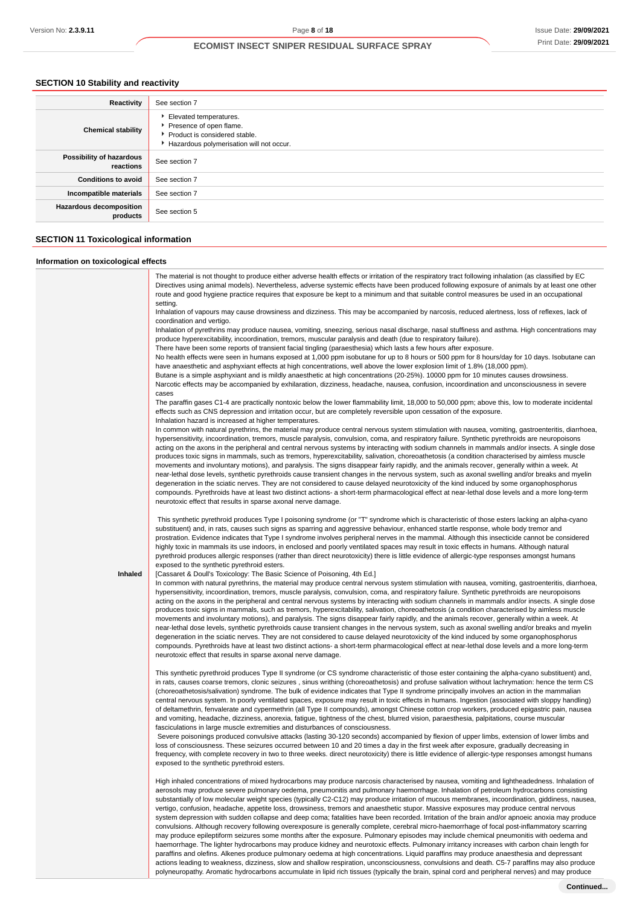## **SECTION 10 Stability and reactivity**

| Reactivity                                 | See section 7                                                                                                                    |
|--------------------------------------------|----------------------------------------------------------------------------------------------------------------------------------|
| <b>Chemical stability</b>                  | Elevated temperatures.<br>Presence of open flame.<br>▶ Product is considered stable.<br>Hazardous polymerisation will not occur. |
| Possibility of hazardous<br>reactions      | See section 7                                                                                                                    |
| <b>Conditions to avoid</b>                 | See section 7                                                                                                                    |
| Incompatible materials                     | See section 7                                                                                                                    |
| <b>Hazardous decomposition</b><br>products | See section 5                                                                                                                    |

## **SECTION 11 Toxicological information**

### **Information on toxicological effects**

|         | The material is not thought to produce either adverse health effects or irritation of the respiratory tract following inhalation (as classified by EC<br>Directives using animal models). Nevertheless, adverse systemic effects have been produced following exposure of animals by at least one other<br>route and good hygiene practice requires that exposure be kept to a minimum and that suitable control measures be used in an occupational                                                                                                                                                                                                                                                                                                                                                                                                                                                                                                                                                                                                                                                                                                                                                                                                                                                                                              |
|---------|---------------------------------------------------------------------------------------------------------------------------------------------------------------------------------------------------------------------------------------------------------------------------------------------------------------------------------------------------------------------------------------------------------------------------------------------------------------------------------------------------------------------------------------------------------------------------------------------------------------------------------------------------------------------------------------------------------------------------------------------------------------------------------------------------------------------------------------------------------------------------------------------------------------------------------------------------------------------------------------------------------------------------------------------------------------------------------------------------------------------------------------------------------------------------------------------------------------------------------------------------------------------------------------------------------------------------------------------------|
|         | setting.<br>Inhalation of vapours may cause drowsiness and dizziness. This may be accompanied by narcosis, reduced alertness, loss of reflexes, lack of<br>coordination and vertigo.                                                                                                                                                                                                                                                                                                                                                                                                                                                                                                                                                                                                                                                                                                                                                                                                                                                                                                                                                                                                                                                                                                                                                              |
|         | Inhalation of pyrethrins may produce nausea, vomiting, sneezing, serious nasal discharge, nasal stuffiness and asthma. High concentrations may<br>produce hyperexcitability, incoordination, tremors, muscular paralysis and death (due to respiratory failure).                                                                                                                                                                                                                                                                                                                                                                                                                                                                                                                                                                                                                                                                                                                                                                                                                                                                                                                                                                                                                                                                                  |
|         | There have been some reports of transient facial tingling (paraesthesia) which lasts a few hours after exposure.<br>No health effects were seen in humans exposed at 1,000 ppm isobutane for up to 8 hours or 500 ppm for 8 hours/day for 10 days. Isobutane can<br>have anaesthetic and asphyxiant effects at high concentrations, well above the lower explosion limit of 1.8% (18,000 ppm).                                                                                                                                                                                                                                                                                                                                                                                                                                                                                                                                                                                                                                                                                                                                                                                                                                                                                                                                                    |
|         | Butane is a simple asphyxiant and is mildly anaesthetic at high concentrations (20-25%). 10000 ppm for 10 minutes causes drowsiness.<br>Narcotic effects may be accompanied by exhilaration, dizziness, headache, nausea, confusion, incoordination and unconsciousness in severe<br>cases                                                                                                                                                                                                                                                                                                                                                                                                                                                                                                                                                                                                                                                                                                                                                                                                                                                                                                                                                                                                                                                        |
|         | The paraffin gases C1-4 are practically nontoxic below the lower flammability limit, 18,000 to 50,000 ppm; above this, low to moderate incidental<br>effects such as CNS depression and irritation occur, but are completely reversible upon cessation of the exposure.                                                                                                                                                                                                                                                                                                                                                                                                                                                                                                                                                                                                                                                                                                                                                                                                                                                                                                                                                                                                                                                                           |
|         | Inhalation hazard is increased at higher temperatures.<br>In common with natural pyrethrins, the material may produce central nervous system stimulation with nausea, vomiting, gastroenteritis, diarrhoea,<br>hypersensitivity, incoordination, tremors, muscle paralysis, convulsion, coma, and respiratory failure. Synthetic pyrethroids are neuropoisons                                                                                                                                                                                                                                                                                                                                                                                                                                                                                                                                                                                                                                                                                                                                                                                                                                                                                                                                                                                     |
|         | acting on the axons in the peripheral and central nervous systems by interacting with sodium channels in mammals and/or insects. A single dose<br>produces toxic signs in mammals, such as tremors, hyperexcitability, salivation, choreoathetosis (a condition characterised by aimless muscle<br>movements and involuntary motions), and paralysis. The signs disappear fairly rapidly, and the animals recover, generally within a week. At<br>near-lethal dose levels, synthetic pyrethroids cause transient changes in the nervous system, such as axonal swelling and/or breaks and myelin<br>degeneration in the sciatic nerves. They are not considered to cause delayed neurotoxicity of the kind induced by some organophosphorus<br>compounds. Pyrethroids have at least two distinct actions- a short-term pharmacological effect at near-lethal dose levels and a more long-term<br>neurotoxic effect that results in sparse axonal nerve damage.                                                                                                                                                                                                                                                                                                                                                                                    |
|         | This synthetic pyrethroid produces Type I poisoning syndrome (or "T" syndrome which is characteristic of those esters lacking an alpha-cyano<br>substituent) and, in rats, causes such signs as sparring and aggressive behaviour, enhanced startle response, whole body tremor and<br>prostration. Evidence indicates that Type I syndrome involves peripheral nerves in the mammal. Although this insecticide cannot be considered<br>highly toxic in mammals its use indoors, in enclosed and poorly ventilated spaces may result in toxic effects in humans. Although natural<br>pyrethroid produces allergic responses (rather than direct neurotoxicity) there is little evidence of allergic-type responses amongst humans<br>exposed to the synthetic pyrethroid esters.                                                                                                                                                                                                                                                                                                                                                                                                                                                                                                                                                                  |
| Inhaled | [Cassaret & Doull's Toxicology: The Basic Science of Poisoning, 4th Ed.]<br>In common with natural pyrethrins, the material may produce central nervous system stimulation with nausea, vomiting, gastroenteritis, diarrhoea,<br>hypersensitivity, incoordination, tremors, muscle paralysis, convulsion, coma, and respiratory failure. Synthetic pyrethroids are neuropoisons<br>acting on the axons in the peripheral and central nervous systems by interacting with sodium channels in mammals and/or insects. A single dose<br>produces toxic signs in mammals, such as tremors, hyperexcitability, salivation, choreoathetosis (a condition characterised by aimless muscle<br>movements and involuntary motions), and paralysis. The signs disappear fairly rapidly, and the animals recover, generally within a week. At<br>near-lethal dose levels, synthetic pyrethroids cause transient changes in the nervous system, such as axonal swelling and/or breaks and myelin<br>degeneration in the sciatic nerves. They are not considered to cause delayed neurotoxicity of the kind induced by some organophosphorus<br>compounds. Pyrethroids have at least two distinct actions- a short-term pharmacological effect at near-lethal dose levels and a more long-term<br>neurotoxic effect that results in sparse axonal nerve damage. |
|         | This synthetic pyrethroid produces Type II syndrome (or CS syndrome characteristic of those ester containing the alpha-cyano substituent) and,<br>in rats, causes coarse tremors, clonic seizures, sinus writhing (choreoathetosis) and profuse salivation without lachrymation: hence the term CS<br>(choreoathetosis/salivation) syndrome. The bulk of evidence indicates that Type II syndrome principally involves an action in the mammalian<br>central nervous system. In poorly ventilated spaces, exposure may result in toxic effects in humans. Ingestion (associated with sloppy handling)<br>of deltamethrin, fenvalerate and cypermethrin (all Type II compounds), amongst Chinese cotton crop workers, produced epigastric pain, nausea<br>and vomiting, headache, dizziness, anorexia, fatigue, tightness of the chest, blurred vision, paraesthesia, palpitations, course muscular<br>fasciculations in large muscle extremities and disturbances of consciousness.                                                                                                                                                                                                                                                                                                                                                               |
|         | Severe poisonings produced convulsive attacks (lasting 30-120 seconds) accompanied by flexion of upper limbs, extension of lower limbs and<br>loss of consciousness. These seizures occurred between 10 and 20 times a day in the first week after exposure, gradually decreasing in<br>frequency, with complete recovery in two to three weeks. direct neurotoxicity) there is little evidence of allergic-type responses amongst humans<br>exposed to the synthetic pyrethroid esters.                                                                                                                                                                                                                                                                                                                                                                                                                                                                                                                                                                                                                                                                                                                                                                                                                                                          |
|         | High inhaled concentrations of mixed hydrocarbons may produce narcosis characterised by nausea, vomiting and lightheadedness. Inhalation of<br>aerosols may produce severe pulmonary oedema, pneumonitis and pulmonary haemorrhage. Inhalation of petroleum hydrocarbons consisting<br>substantially of low molecular weight species (typically C2-C12) may produce irritation of mucous membranes, incoordination, giddiness, nausea,<br>vertigo, confusion, headache, appetite loss, drowsiness, tremors and anaesthetic stupor. Massive exposures may produce central nervous<br>system depression with sudden collapse and deep coma; fatalities have been recorded. Irritation of the brain and/or apnoeic anoxia may produce<br>convulsions. Although recovery following overexposure is generally complete, cerebral micro-haemorrhage of focal post-inflammatory scarring<br>may produce epileptiform seizures some months after the exposure. Pulmonary episodes may include chemical pneumonitis with oedema and<br>haemorrhage. The lighter hydrocarbons may produce kidney and neurotoxic effects. Pulmonary irritancy increases with carbon chain length for                                                                                                                                                                         |

paraffins and olefins. Alkenes produce pulmonary oedema at high concentrations. Liquid paraffins may produce anaesthesia and depressant actions leading to weakness, dizziness, slow and shallow respiration, unconsciousness, convulsions and death. C5-7 paraffins may also produce polyneuropathy. Aromatic hydrocarbons accumulate in lipid rich tissues (typically the brain, spinal cord and peripheral nerves) and may produce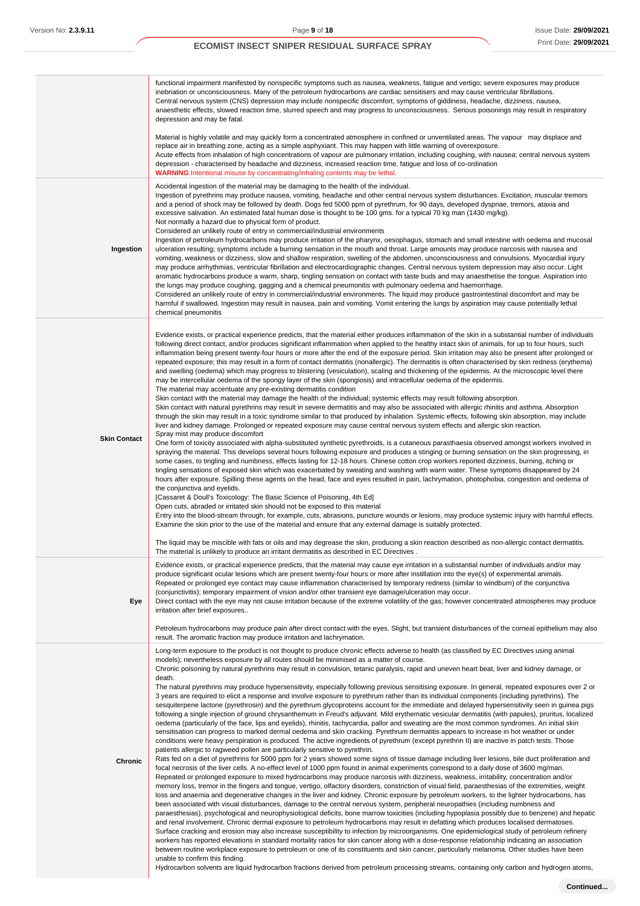|                     | functional impairment manifested by nonspecific symptoms such as nausea, weakness, fatigue and vertigo; severe exposures may produce<br>inebriation or unconsciousness. Many of the petroleum hydrocarbons are cardiac sensitisers and may cause ventricular fibrillations.<br>Central nervous system (CNS) depression may include nonspecific discomfort, symptoms of giddiness, headache, dizziness, nausea,<br>anaesthetic effects, slowed reaction time, slurred speech and may progress to unconsciousness. Serious poisonings may result in respiratory<br>depression and may be fatal.                                                                                                                                                                                                                                                                                                                                                                                                                                                                                                                                                                                                                                                                                                                                                                                                                                                                                                                                                                                                                                                                                                                                                                                                                                                                                                                                                                                                                                                                                                                                                                                                                                                                                                                                                                                                                                                                                                                                                                                                                                                                                                                                                                                                                                                                                                                                                                                                                                                                                                                                                                                                                                                                                                                                                                 |
|---------------------|---------------------------------------------------------------------------------------------------------------------------------------------------------------------------------------------------------------------------------------------------------------------------------------------------------------------------------------------------------------------------------------------------------------------------------------------------------------------------------------------------------------------------------------------------------------------------------------------------------------------------------------------------------------------------------------------------------------------------------------------------------------------------------------------------------------------------------------------------------------------------------------------------------------------------------------------------------------------------------------------------------------------------------------------------------------------------------------------------------------------------------------------------------------------------------------------------------------------------------------------------------------------------------------------------------------------------------------------------------------------------------------------------------------------------------------------------------------------------------------------------------------------------------------------------------------------------------------------------------------------------------------------------------------------------------------------------------------------------------------------------------------------------------------------------------------------------------------------------------------------------------------------------------------------------------------------------------------------------------------------------------------------------------------------------------------------------------------------------------------------------------------------------------------------------------------------------------------------------------------------------------------------------------------------------------------------------------------------------------------------------------------------------------------------------------------------------------------------------------------------------------------------------------------------------------------------------------------------------------------------------------------------------------------------------------------------------------------------------------------------------------------------------------------------------------------------------------------------------------------------------------------------------------------------------------------------------------------------------------------------------------------------------------------------------------------------------------------------------------------------------------------------------------------------------------------------------------------------------------------------------------------------------------------------------------------------------------------------------------------|
|                     | Material is highly volatile and may quickly form a concentrated atmosphere in confined or unventilated areas. The vapour may displace and<br>replace air in breathing zone, acting as a simple asphyxiant. This may happen with little warning of overexposure.<br>Acute effects from inhalation of high concentrations of vapour are pulmonary irritation, including coughing, with nausea; central nervous system<br>depression - characterised by headache and dizziness, increased reaction time, fatigue and loss of co-ordination<br><b>WARNING:</b> Intentional misuse by concentrating/inhaling contents may be lethal.                                                                                                                                                                                                                                                                                                                                                                                                                                                                                                                                                                                                                                                                                                                                                                                                                                                                                                                                                                                                                                                                                                                                                                                                                                                                                                                                                                                                                                                                                                                                                                                                                                                                                                                                                                                                                                                                                                                                                                                                                                                                                                                                                                                                                                                                                                                                                                                                                                                                                                                                                                                                                                                                                                                               |
| Ingestion           | Accidental ingestion of the material may be damaging to the health of the individual.<br>Ingestion of pyrethrins may produce nausea, vomiting, headache and other central nervous system disturbances. Excitation, muscular tremors<br>and a period of shock may be followed by death. Dogs fed 5000 ppm of pyrethrum, for 90 days, developed dyspnae, tremors, ataxia and<br>excessive salivation. An estimated fatal human dose is thought to be 100 gms. for a typical 70 kg man (1430 mg/kg).<br>Not normally a hazard due to physical form of product.<br>Considered an unlikely route of entry in commercial/industrial environments<br>Ingestion of petroleum hydrocarbons may produce irritation of the pharynx, oesophagus, stomach and small intestine with oedema and mucosal<br>ulceration resulting; symptoms include a burning sensation in the mouth and throat. Large amounts may produce narcosis with nausea and<br>vomiting, weakness or dizziness, slow and shallow respiration, swelling of the abdomen, unconsciousness and convulsions. Myocardial injury<br>may produce arrhythmias, ventricular fibrillation and electrocardiographic changes. Central nervous system depression may also occur. Light<br>aromatic hydrocarbons produce a warm, sharp, tingling sensation on contact with taste buds and may anaesthetise the tongue. Aspiration into<br>the lungs may produce coughing, gagging and a chemical pneumonitis with pulmonary oedema and haemorrhage.<br>Considered an unlikely route of entry in commercial/industrial environments. The liquid may produce gastrointestinal discomfort and may be<br>harmful if swallowed. Ingestion may result in nausea, pain and vomiting. Vomit entering the lungs by aspiration may cause potentially lethal<br>chemical pneumonitis                                                                                                                                                                                                                                                                                                                                                                                                                                                                                                                                                                                                                                                                                                                                                                                                                                                                                                                                                                                                                                                                                                                                                                                                                                                                                                                                                                                                                                                                                                                                             |
| <b>Skin Contact</b> | Evidence exists, or practical experience predicts, that the material either produces inflammation of the skin in a substantial number of individuals<br>following direct contact, and/or produces significant inflammation when applied to the healthy intact skin of animals, for up to four hours, such<br>inflammation being present twenty-four hours or more after the end of the exposure period. Skin irritation may also be present after prolonged or<br>repeated exposure; this may result in a form of contact dermatitis (nonallergic). The dermatitis is often characterised by skin redness (erythema)<br>and swelling (oedema) which may progress to blistering (vesiculation), scaling and thickening of the epidermis. At the microscopic level there<br>may be intercellular oedema of the spongy layer of the skin (spongiosis) and intracellular oedema of the epidermis.<br>The material may accentuate any pre-existing dermatitis condition<br>Skin contact with the material may damage the health of the individual; systemic effects may result following absorption.<br>Skin contact with natural pyrethrins may result in severe dermatitis and may also be associated with allergic rhinitis and asthma. Absorption<br>through the skin may result in a toxic syndrome similar to that produced by inhalation. Systemic effects, following skin absorption, may include<br>liver and kidney damage. Prolonged or repeated exposure may cause central nervous system effects and allergic skin reaction.<br>Spray mist may produce discomfort<br>One form of toxicity associated with alpha-substituted synthetic pyrethroids, is a cutaneous parasthaesia observed amongst workers involved in<br>spraying the material. This develops several hours following exposure and produces a stinging or burning sensation on the skin progressing, in<br>some cases, to tingling and numbness, effects lasting for 12-18 hours. Chinese cotton crop workers reported dizziness, burning, itching or<br>tingling sensations of exposed skin which was exacerbated by sweating and washing with warm water. These symptoms disappeared by 24<br>hours after exposure. Spilling these agents on the head, face and eyes resulted in pain, lachrymation, photophobia, congestion and oedema of<br>the conjunctiva and eyelids.<br>[Cassaret & Doull's Toxicology: The Basic Science of Poisoning, 4th Ed]<br>Open cuts, abraded or irritated skin should not be exposed to this material<br>Entry into the blood-stream through, for example, cuts, abrasions, puncture wounds or lesions, may produce systemic injury with harmful effects.<br>Examine the skin prior to the use of the material and ensure that any external damage is suitably protected.<br>The liquid may be miscible with fats or oils and may degrease the skin, producing a skin reaction described as non-allergic contact dermatitis.<br>The material is unlikely to produce an irritant dermatitis as described in EC Directives.                                                                                                                                                                                                                                                                                                                              |
| Eye                 | Evidence exists, or practical experience predicts, that the material may cause eye irritation in a substantial number of individuals and/or may<br>produce significant ocular lesions which are present twenty-four hours or more after instillation into the eye(s) of experimental animals.<br>Repeated or prolonged eye contact may cause inflammation characterised by temporary redness (similar to windburn) of the conjunctiva<br>(conjunctivitis); temporary impairment of vision and/or other transient eye damage/ulceration may occur.<br>Direct contact with the eye may not cause irritation because of the extreme volatility of the gas; however concentrated atmospheres may produce<br>irritation after brief exposures<br>Petroleum hydrocarbons may produce pain after direct contact with the eyes. Slight, but transient disturbances of the corneal epithelium may also<br>result. The aromatic fraction may produce irritation and lachrymation.                                                                                                                                                                                                                                                                                                                                                                                                                                                                                                                                                                                                                                                                                                                                                                                                                                                                                                                                                                                                                                                                                                                                                                                                                                                                                                                                                                                                                                                                                                                                                                                                                                                                                                                                                                                                                                                                                                                                                                                                                                                                                                                                                                                                                                                                                                                                                                                       |
| Chronic             | Long-term exposure to the product is not thought to produce chronic effects adverse to health (as classified by EC Directives using animal<br>models); nevertheless exposure by all routes should be minimised as a matter of course.<br>Chronic poisoning by natural pyrethrins may result in convulsion, tetanic paralysis, rapid and uneven heart beat, liver and kidney damage, or<br>death.<br>The natural pyrethrins may produce hypersensitivity, especially following previous sensitising exposure. In general, repeated exposures over 2 or<br>3 years are required to elicit a response and involve exposure to pyrethrum rather than its individual components (including pyrethrins). The<br>sesquiterpene lactone (pyrethrosin) and the pyrethrum glycoproteins account for the immediate and delayed hypersensitivity seen in guinea pigs<br>following a single injection of ground chrysanthemum in Freud's adjuvant. Mild erythematic vesicular dermatitis (with papules), pruritus, localized<br>oedema (particularly of the face, lips and eyelids), rhinitis, tachycardia, pallor and sweating are the most common syndromes. An initial skin<br>sensitisation can progress to marked dermal oedema and skin cracking. Pyrethrum dermatitis appears to increase in hot weather or under<br>conditions were heavy perspiration is produced. The active ingredients of pyrethrum (except pyrethrin II) are inactive in patch tests. Those<br>patients allergic to ragweed pollen are particularly sensitive to pyrethrin.<br>Rats fed on a diet of pyrethrins for 5000 ppm for 2 years showed some signs of tissue damage including liver lesions, bile duct proliferation and<br>focal necrosis of the liver cells. A no-effect level of 1000 ppm found in animal experiments correspond to a daily dose of 3600 mg/man.<br>Repeated or prolonged exposure to mixed hydrocarbons may produce narcosis with dizziness, weakness, irritability, concentration and/or<br>memory loss, tremor in the fingers and tongue, vertigo, olfactory disorders, constriction of visual field, paraesthesias of the extremities, weight<br>loss and anaemia and degenerative changes in the liver and kidney. Chronic exposure by petroleum workers, to the lighter hydrocarbons, has<br>been associated with visual disturbances, damage to the central nervous system, peripheral neuropathies (including numbness and<br>paraesthesias), psychological and neurophysiological deficits, bone marrow toxicities (including hypoplasia possibly due to benzene) and hepatic<br>and renal involvement. Chronic dermal exposure to petroleum hydrocarbons may result in defatting which produces localised dermatoses.<br>Surface cracking and erosion may also increase susceptibility to infection by microorganisms. One epidemiological study of petroleum refinery<br>workers has reported elevations in standard mortality ratios for skin cancer along with a dose-response relationship indicating an association<br>between routine workplace exposure to petroleum or one of its constituents and skin cancer, particularly melanoma. Other studies have been<br>unable to confirm this finding.<br>Hydrocarbon solvents are liquid hydrocarbon fractions derived from petroleum processing streams, containing only carbon and hydrogen atoms, |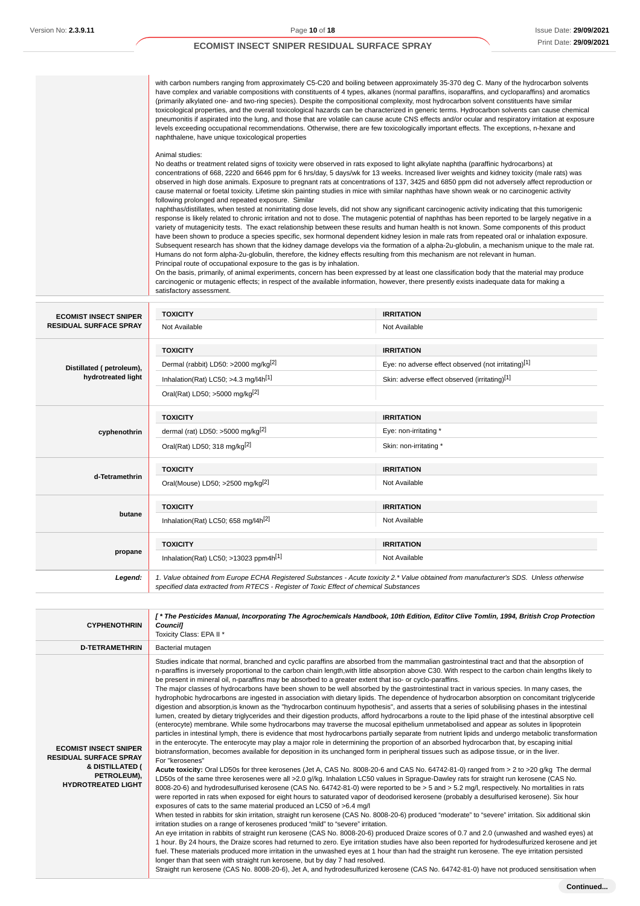with carbon numbers ranging from approximately C5-C20 and boiling between approximately 35-370 deg C. Many of the hydrocarbon solvents have complex and variable compositions with constituents of 4 types, alkanes (normal paraffins, isoparaffins, and cycloparaffins) and aromatics (primarily alkylated one- and two-ring species). Despite the compositional complexity, most hydrocarbon solvent constituents have similar toxicological properties, and the overall toxicological hazards can be characterized in generic terms. Hydrocarbon solvents can cause chemical pneumonitis if aspirated into the lung, and those that are volatile can cause acute CNS effects and/or ocular and respiratory irritation at exposure levels exceeding occupational recommendations. Otherwise, there are few toxicologically important effects. The exceptions, n-hexane and naphthalene, have unique toxicological properties

#### Animal studies:

No deaths or treatment related signs of toxicity were observed in rats exposed to light alkylate naphtha (paraffinic hydrocarbons) at concentrations of 668, 2220 and 6646 ppm for 6 hrs/day, 5 days/wk for 13 weeks. Increased liver weights and kidney toxicity (male rats) was observed in high dose animals. Exposure to pregnant rats at concentrations of 137, 3425 and 6850 ppm did not adversely affect reproduction or cause maternal or foetal toxicity. Lifetime skin painting studies in mice with similar naphthas have shown weak or no carcinogenic activity following prolonged and repeated exposure. Similar

naphthas/distillates, when tested at nonirritating dose levels, did not show any significant carcinogenic activity indicating that this tumorigenic response is likely related to chronic irritation and not to dose. The mutagenic potential of naphthas has been reported to be largely negative in a variety of mutagenicity tests. The exact relationship between these results and human health is not known. Some components of this product have been shown to produce a species specific, sex hormonal dependent kidney lesion in male rats from repeated oral or inhalation exposure. Subsequent research has shown that the kidney damage develops via the formation of a alpha-2u-globulin, a mechanism unique to the male rat. Humans do not form alpha-2u-globulin, therefore, the kidney effects resulting from this mechanism are not relevant in human. Principal route of occupational exposure to the gas is by inhalation.

On the basis, primarily, of animal experiments, concern has been expressed by at least one classification body that the material may produce carcinogenic or mutagenic effects; in respect of the available information, however, there presently exists inadequate data for making a satisfactory assessment.

| <b>ECOMIST INSECT SNIPER</b><br><b>RESIDUAL SURFACE SPRAY</b> | <b>TOXICITY</b>                                                                       | <b>IRRITATION</b>                                                                                                                      |
|---------------------------------------------------------------|---------------------------------------------------------------------------------------|----------------------------------------------------------------------------------------------------------------------------------------|
|                                                               | Not Available                                                                         | Not Available                                                                                                                          |
|                                                               | <b>TOXICITY</b>                                                                       | <b>IRRITATION</b>                                                                                                                      |
| Distillated (petroleum),                                      | Dermal (rabbit) LD50: >2000 mg/kg <sup>[2]</sup>                                      | Eye: no adverse effect observed (not irritating)[1]                                                                                    |
| hydrotreated light                                            | Inhalation(Rat) LC50; $>4.3$ mg/l4h <sup>[1]</sup>                                    | Skin: adverse effect observed (irritating)[1]                                                                                          |
|                                                               | Oral(Rat) LD50; >5000 mg/kg[2]                                                        |                                                                                                                                        |
|                                                               | <b>TOXICITY</b>                                                                       | <b>IRRITATION</b>                                                                                                                      |
| cyphenothrin                                                  | dermal (rat) LD50: $>5000$ mg/kg <sup>[2]</sup>                                       | Eye: non-irritating *                                                                                                                  |
|                                                               | Oral(Rat) LD50; 318 mg/kg <sup>[2]</sup>                                              | Skin: non-irritating *                                                                                                                 |
| d-Tetramethrin                                                | <b>TOXICITY</b>                                                                       | <b>IRRITATION</b>                                                                                                                      |
|                                                               | Oral(Mouse) LD50; >2500 mg/kg <sup>[2]</sup>                                          | Not Available                                                                                                                          |
| butane                                                        | <b>TOXICITY</b>                                                                       | <b>IRRITATION</b>                                                                                                                      |
|                                                               | Inhalation(Rat) LC50; 658 mg/l4h <sup>[2]</sup>                                       | Not Available                                                                                                                          |
|                                                               | <b>TOXICITY</b>                                                                       | <b>IRRITATION</b>                                                                                                                      |
| propane                                                       | Inhalation(Rat) LC50; >13023 ppm4h <sup>[1]</sup>                                     | Not Available                                                                                                                          |
| Legend:                                                       | specified data extracted from RTECS - Register of Toxic Effect of chemical Substances | 1. Value obtained from Europe ECHA Registered Substances - Acute toxicity 2.* Value obtained from manufacturer's SDS. Unless otherwise |

| <b>CYPHENOTHRIN</b>                                                                                                          | [* The Pesticides Manual, Incorporating The Agrochemicals Handbook, 10th Edition, Editor Clive Tomlin, 1994, British Crop Protection<br><b>Councill</b><br>Toxicity Class: EPA II *                                                                                                                                                                                                                                                                                                                                                                                                                                                                                                                                                                                                                                                                                                                                                                                                                                                                                                                                                                                                                                                                                                                                                                                                                                                                                                                                                                                                                                                                                                                                                                                                                                                                                                                                                                                                                                                                                                                                                                                                                                                                                                                                                                                                                                                                                                                                                                                                                                                                                                                                                                                                                                                                                                                                                                                                                                                                                                                                                                                                                                                             |
|------------------------------------------------------------------------------------------------------------------------------|-------------------------------------------------------------------------------------------------------------------------------------------------------------------------------------------------------------------------------------------------------------------------------------------------------------------------------------------------------------------------------------------------------------------------------------------------------------------------------------------------------------------------------------------------------------------------------------------------------------------------------------------------------------------------------------------------------------------------------------------------------------------------------------------------------------------------------------------------------------------------------------------------------------------------------------------------------------------------------------------------------------------------------------------------------------------------------------------------------------------------------------------------------------------------------------------------------------------------------------------------------------------------------------------------------------------------------------------------------------------------------------------------------------------------------------------------------------------------------------------------------------------------------------------------------------------------------------------------------------------------------------------------------------------------------------------------------------------------------------------------------------------------------------------------------------------------------------------------------------------------------------------------------------------------------------------------------------------------------------------------------------------------------------------------------------------------------------------------------------------------------------------------------------------------------------------------------------------------------------------------------------------------------------------------------------------------------------------------------------------------------------------------------------------------------------------------------------------------------------------------------------------------------------------------------------------------------------------------------------------------------------------------------------------------------------------------------------------------------------------------------------------------------------------------------------------------------------------------------------------------------------------------------------------------------------------------------------------------------------------------------------------------------------------------------------------------------------------------------------------------------------------------------------------------------------------------------------------------------------------------|
| <b>D-TETRAMETHRIN</b>                                                                                                        | Bacterial mutagen                                                                                                                                                                                                                                                                                                                                                                                                                                                                                                                                                                                                                                                                                                                                                                                                                                                                                                                                                                                                                                                                                                                                                                                                                                                                                                                                                                                                                                                                                                                                                                                                                                                                                                                                                                                                                                                                                                                                                                                                                                                                                                                                                                                                                                                                                                                                                                                                                                                                                                                                                                                                                                                                                                                                                                                                                                                                                                                                                                                                                                                                                                                                                                                                                               |
| <b>ECOMIST INSECT SNIPER</b><br><b>RESIDUAL SURFACE SPRAY</b><br>& DISTILLATED (<br>PETROLEUM),<br><b>HYDROTREATED LIGHT</b> | Studies indicate that normal, branched and cyclic paraffins are absorbed from the mammalian gastrointestinal tract and that the absorption of<br>n-paraffins is inversely proportional to the carbon chain length, with little absorption above C30. With respect to the carbon chain lengths likely to<br>be present in mineral oil, n-paraffins may be absorbed to a greater extent that iso- or cyclo-paraffins.<br>The major classes of hydrocarbons have been shown to be well absorbed by the gastrointestinal tract in various species. In many cases, the<br>hydrophobic hydrocarbons are ingested in association with dietary lipids. The dependence of hydrocarbon absorption on concomitant triglyceride<br>digestion and absorption, is known as the "hydrocarbon continuum hypothesis", and asserts that a series of solubilising phases in the intestinal<br>lumen, created by dietary triglycerides and their digestion products, afford hydrocarbons a route to the lipid phase of the intestinal absorptive cell<br>(enterocyte) membrane. While some hydrocarbons may traverse the mucosal epithelium unmetabolised and appear as solutes in lipoprotein<br>particles in intestinal lymph, there is evidence that most hydrocarbons partially separate from nutrient lipids and undergo metabolic transformation<br>in the enterocyte. The enterocyte may play a major role in determining the proportion of an absorbed hydrocarbon that, by escaping initial<br>biotransformation, becomes available for deposition in its unchanged form in peripheral tissues such as adipose tissue, or in the liver.<br>For "kerosenes"<br>Acute toxicity: Oral LD50s for three kerosenes (Jet A, CAS No. 8008-20-6 and CAS No. 64742-81-0) ranged from > 2 to >20 g/kg The dermal<br>LD50s of the same three kerosenes were all >2.0 g//kg. Inhalation LC50 values in Sprague-Dawley rats for straight run kerosene (CAS No.<br>8008-20-6) and hydrodesulfurised kerosene (CAS No. 64742-81-0) were reported to be > 5 and > 5.2 mg/l, respectively. No mortalities in rats<br>were reported in rats when exposed for eight hours to saturated vapor of deodorised kerosene (probably a desulfurised kerosene). Six hour<br>exposures of cats to the same material produced an LC50 of >6.4 mg/l<br>When tested in rabbits for skin irritation, straight run kerosene (CAS No. 8008-20-6) produced "moderate" to "severe" irritation. Six additional skin<br>irritation studies on a range of kerosenes produced "mild" to "severe" irritation.<br>An eye irritation in rabbits of straight run kerosene (CAS No. 8008-20-6) produced Draize scores of 0.7 and 2.0 (unwashed and washed eyes) at<br>1 hour. By 24 hours, the Draize scores had returned to zero. Eye irritation studies have also been reported for hydrodesulfurized kerosene and jet<br>fuel. These materials produced more irritation in the unwashed eyes at 1 hour than had the straight run kerosene. The eye irritation persisted<br>longer than that seen with straight run kerosene, but by day 7 had resolved.<br>Straight run kerosene (CAS No. 8008-20-6), Jet A, and hydrodesulfurized kerosene (CAS No. 64742-81-0) have not produced sensitisation when |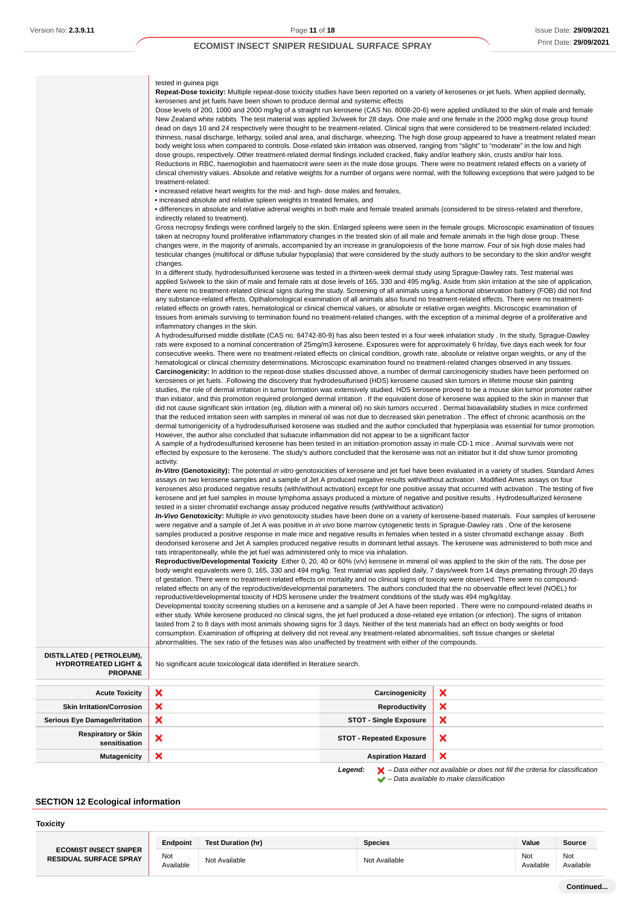#### tested in guinea pigs

**Repeat-Dose toxicity:** Multiple repeat-dose toxicity studies have been reported on a variety of kerosenes or jet fuels. When applied dermally, kerosenes and jet fuels have been shown to produce dermal and systemic effects

Dose levels of 200, 1000 and 2000 mg/kg of a straight run kerosene (CAS No. 8008-20-6) were applied undiluted to the skin of male and female New Zealand white rabbits The test material was applied 3x/week for 28 days. One male and one female in the 2000 mg/kg dose group found dead on days 10 and 24 respectively were thought to be treatment-related. Clinical signs that were considered to be treatment-related included: thinness, nasal discharge, lethargy, soiled anal area, anal discharge, wheezing. The high dose group appeared to have a treatment related mean body weight loss when compared to controls. Dose-related skin irritation was observed, ranging from "slight" to "moderate" in the low and high dose groups, respectively. Other treatment-related dermal findings included cracked, flaky and/or leathery skin, crusts and/or hair loss. Reductions in RBC, haemoglobin and haematocrit were seen in the male dose groups. There were no treatment related effects on a variety of clinical chemistry values. Absolute and relative weights for a number of organs were normal, with the following exceptions that were judged to be treatment-related: • increased relative heart weights for the mid- and high- dose males and females, • increased absolute and relative spleen weights in treated females, and • differences in absolute and relative adrenal weights in both male and female treated animals (considered to be stress-related and therefore, indirectly related to treatment). Gross necropsy findings were confined largely to the skin. Enlarged spleens were seen in the female groups. Microscopic examination of tissues taken at necropsy found proliferative inflammatory changes in the treated skin of all male and female animals in the high dose group. These changes were, in the majority of animals, accompanied by an increase in granulopoiesis of the bone marrow. Four of six high dose males had testicular changes (multifocal or diffuse tubular hypoplasia) that were considered by the study authors to be secondary to the skin and/or weight changes. In a different study, hydrodesulfurised kerosene was tested in a thirteen-week dermal study using Sprague-Dawley rats. Test material was applied 5x/week to the skin of male and female rats at dose levels of 165, 330 and 495 mg/kg. Aside from skin irritation at the site of application, there were no treatment-related clinical signs during the study. Screening of all animals using a functional observation battery (FOB) did not find any substance-related effects. Opthalomological examination of all animals also found no treatment-related effects. There were no treatmentrelated effects on growth rates, hematological or clinical chemical values, or absolute or relative organ weights. Microscopic examination of tissues from animals surviving to termination found no treatment-related changes, with the exception of a minimal degree of a proliferative and inflammatory changes in the skin. A hydrodesulfurised middle distillate (CAS no. 64742-80-9) has also been tested in a four week inhalation study . In the study, Sprague-Dawley rats were exposed to a nominal concentration of 25mg/m3 kerosene. Exposures were for approximately 6 hr/day, five days each week for four consecutive weeks. There were no treatment-related effects on clinical condition, growth rate, absolute or relative organ weights, or any of the hematological or clinical chemistry determinations. Microscopic examination found no treatment-related changes observed in any tissues. **Carcinogenicity:** In addition to the repeat-dose studies discussed above, a number of dermal carcinogenicity studies have been performed on kerosenes or jet fuels. .Following the discovery that hydrodesulfurised (HDS) kerosene caused skin tumors in lifetime mouse skin painting studies, the role of dermal irritation in tumor formation was extensively studied. HDS kerosene proved to be a mouse skin tumor promoter rather than initiator, and this promotion required prolonged dermal irritation . If the equivalent dose of kerosene was applied to the skin in manner that did not cause significant skin irritation (eg, dilution with a mineral oil) no skin tumors occurred . Dermal bioavailability studies in mice confirmed that the reduced irritation seen with samples in mineral oil was not due to decreased skin penetration . The effect of chronic acanthosis on the dermal tumorigenicity of a hydrodesulfurised kerosene was studied and the author concluded that hyperplasia was essential for tumor promotion. However, the author also concluded that subacute inflammation did not appear to be a significant factor A sample of a hydrodesulfurised kerosene has been tested in an initiation-promotion assay in male CD-1 mice . Animal survivals were not effected by exposure to the kerosene. The study's authors concluded that the kerosene was not an initiator but it did show tumor promoting activity. In-Vitro (Genotoxicity): The potential in vitro genotoxicities of kerosene and jet fuel have been evaluated in a variety of studies. Standard Ames assays on two kerosene samples and a sample of Jet A produced negative results with/without activation . Modified Ames assays on four kerosenes also produced negative results (with/without activation) except for one positive assay that occurred with activation . The testing of five kerosene and jet fuel samples in mouse lymphoma assays produced a mixture of negative and positive results . Hydrodesulfurized kerosene tested in a sister chromatid exchange assay produced negative results (with/without activation) **In-Vivo Genotoxicity:** Multiple in vivo genotoxicity studies have been done on a variety of kerosene-based materials. Four samples of kerosene were negative and a sample of Jet A was positive in in vivo bone marrow cytogenetic tests in Sprague-Dawley rats . One of the kerosen samples produced a positive response in male mice and negative results in females when tested in a sister chromatid exchange assay . Both deodorised kerosene and Jet A samples produced negative results in dominant lethal assays. The kerosene was administered to both mice and rats intraperitoneally, while the jet fuel was administered only to mice via inhalation. **Reproductive/Developmental Toxicity** Either 0, 20, 40 or 60% (v/v) kerosene in mineral oil was applied to the skin of the rats. The dose per body weight equivalents were 0, 165, 330 and 494 mg/kg. Test material was applied daily, 7 days/week from 14 days premating through 20 days of gestation. There were no treatment-related effects on mortality and no clinical signs of toxicity were observed. There were no compoundrelated effects on any of the reproductive/developmental parameters. The authors concluded that the no observable effect level (NOEL) for reproductive/developmental toxicity of HDS kerosene under the treatment conditions of the study was 494 mg/kg/day. Developmental toxicity screening studies on a kerosene and a sample of Jet A have been reported . There were no compound-related deaths in either study. While kerosene produced no clinical signs, the jet fuel produced a dose-related eye irritation (or infection). The signs of irritation lasted from 2 to 8 days with most animals showing signs for 3 days. Neither of the test materials had an effect on body weights or food consumption. Examination of offspring at delivery did not reveal any treatment-related abnormalities, soft tissue changes or skeletal abnormalities. The sex ratio of the fetuses was also unaffected by treatment with either of the compounds. **DISTILLATED ( PETROLEUM), HYDROTREATED LIGHT &** No significant acute toxicological data identified in literature search. **PROPANE** × **Acute Toxicity Carcinogenicity Skin Irritation/Corrosion Reproductivity** × × **Serious Eye Damage/Irritation X STOT** - Single Exposure **Respiratory or Skin sensitisation STOT - Repeated Exposure**  $\overline{\mathbf{x}}$ **Mutagenicity Aspiration Hazard**  $\boldsymbol{\times}$ 

Legend:  $\blacktriangleright$  - Data either not available or does not fill the criteria for classification – Data available to make classification

#### **SECTION 12 Ecological information**

**Toxicity**

| יייייי                                                        |                  |                    |                |                  |                  |
|---------------------------------------------------------------|------------------|--------------------|----------------|------------------|------------------|
|                                                               | <b>Endpoint</b>  | Test Duration (hr) | <b>Species</b> | Value            | Source           |
| <b>ECOMIST INSECT SNIPER</b><br><b>RESIDUAL SURFACE SPRAY</b> | Not<br>Available | Not Available      | Not Available  | Not<br>Available | Not<br>Available |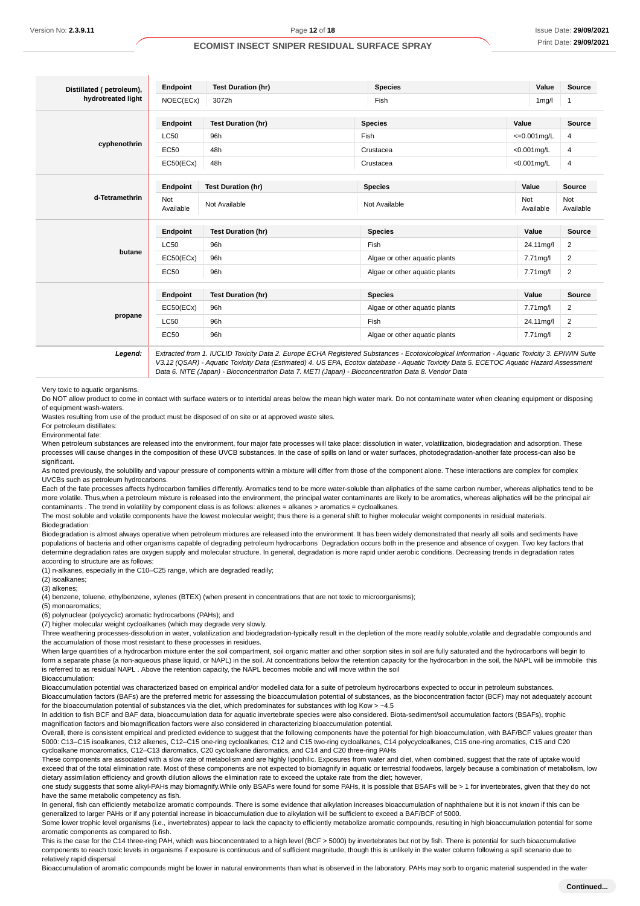| Distillated (petroleum), | Endpoint         | <b>Test Duration (hr)</b> | <b>Species</b>                | Value              | Source           |
|--------------------------|------------------|---------------------------|-------------------------------|--------------------|------------------|
| hydrotreated light       | NOEC(ECx)        | 3072h                     | Fish                          | 1 <sub>mg</sub> /l | 1                |
|                          | Endpoint         | <b>Test Duration (hr)</b> | <b>Species</b>                | Value              | Source           |
|                          | <b>LC50</b>      | 96h                       | Fish                          | $\leq 0.001$ mg/L  | 4                |
| cyphenothrin             | <b>EC50</b>      | 48h                       | Crustacea                     | $<$ 0.001mg/L      | 4                |
|                          | EC50(ECx)        | 48h                       | Crustacea                     | $<$ 0.001mg/L      | 4                |
|                          | Endpoint         | <b>Test Duration (hr)</b> | <b>Species</b>                | Value              | Source           |
| d-Tetramethrin           | Not<br>Available | Not Available             | Not Available                 | Not<br>Available   | Not<br>Available |
|                          | Endpoint         | <b>Test Duration (hr)</b> | <b>Species</b>                | Value              | <b>Source</b>    |
|                          | <b>LC50</b>      | 96h                       | Fish                          | 24.11mg/l          | 2                |
| butane                   | EC50(ECx)        | 96h                       | Algae or other aquatic plants | 7.71mg/l           | $\overline{c}$   |
|                          | EC50             | 96h                       | Algae or other aquatic plants | 7.71mg/l           | 2                |
|                          | Endpoint         | <b>Test Duration (hr)</b> | <b>Species</b>                | Value              | Source           |
|                          | EC50(ECx)        | 96h                       | Algae or other aquatic plants | 7.71mg/l           | 2                |
| propane                  |                  | 96h                       | Fish                          | 24.11mg/l          | $\overline{2}$   |
|                          | <b>LC50</b>      |                           |                               |                    |                  |

V3.12 (QSAR) - Aquatic Toxicity Data (Estimated) 4. US EPA, Ecotox database - Aquatic Toxicity Data 5. ECETOC Aquatic Hazard Assessment Data 6. NITE (Japan) - Bioconcentration Data 7. METI (Japan) - Bioconcentration Data 8. Vendor Data

Very toxic to aquatic organisms.

Do NOT allow product to come in contact with surface waters or to intertidal areas below the mean high water mark. Do not contaminate water when cleaning equipment or disposing of equipment wash-waters.

Wastes resulting from use of the product must be disposed of on site or at approved waste sites.

For petroleum distillates:

Environmental fate:

When petroleum substances are released into the environment, four maior fate processes will take place: dissolution in water, volatilization, biodegradation and adsorption. These processes will cause changes in the composition of these UVCB substances. In the case of spills on land or water surfaces, photodegradation-another fate process-can also be significant.

As noted previously, the solubility and vapour pressure of components within a mixture will differ from those of the component alone. These interactions are complex for complex UVCBs such as petroleum hydrocarbons.

Each of the fate processes affects hydrocarbon families differently. Aromatics tend to be more water-soluble than aliphatics of the same carbon number, whereas aliphatics tend to be more volatile. Thus,when a petroleum mixture is released into the environment, the principal water contaminants are likely to be aromatics, whereas aliphatics will be the principal air contaminants . The trend in volatility by component class is as follows: alkenes = alkanes > aromatics = cycloalkanes.

The most soluble and volatile components have the lowest molecular weight; thus there is a general shift to higher molecular weight components in residual materials.

#### Biodegradation:

Biodegradation is almost always operative when petroleum mixtures are released into the environment. It has been widely demonstrated that nearly all soils and sediments have populations of bacteria and other organisms capable of degrading petroleum hydrocarbons Degradation occurs both in the presence and absence of oxygen. Two key factors that determine degradation rates are oxygen supply and molecular structure. In general, degradation is more rapid under aerobic conditions. Decreasing trends in degradation rates according to structure are as follows:

(1) n-alkanes, especially in the C10–C25 range, which are degraded readily;

(2) isoalkanes;

(3) alkenes;

(4) benzene, toluene, ethylbenzene, xylenes (BTEX) (when present in concentrations that are not toxic to microorganisms);

(5) monoaromatics;

(6) polynuclear (polycyclic) aromatic hydrocarbons (PAHs); and

(7) higher molecular weight cycloalkanes (which may degrade very slowly.

Three weathering processes-dissolution in water, volatilization and biodegradation-typically result in the depletion of the more readily soluble,volatile and degradable compounds and the accumulation of those most resistant to these processes in residues.

When large quantities of a hydrocarbon mixture enter the soil compartment, soil organic matter and other sorption sites in soil are fully saturated and the hydrocarbons will begin to form a separate phase (a non-aqueous phase liquid, or NAPL) in the soil. At concentrations below the retention capacity for the hydrocarbon in the soil, the NAPL will be immobile this is referred to as residual NAPL . Above the retention capacity, the NAPL becomes mobile and will move within the soil

Bioaccumulation:

Bioaccumulation potential was characterized based on empirical and/or modelled data for a suite of petroleum hydrocarbons expected to occur in petroleum substances. Bioaccumulation factors (BAFs) are the preferred metric for assessing the bioaccumulation potential of substances, as the bioconcentration factor (BCF) may not adequately account for the bioaccumulation potential of substances via the diet, which predominates for substances with log Kow > ~4.5

In addition to fish BCF and BAF data, bioaccumulation data for aquatic invertebrate species were also considered. Biota-sediment/soil accumulation factors (BSAFs), trophic magnification factors and biomagnification factors were also considered in characterizing bioaccumulation potential.

Overall, there is consistent empirical and predicted evidence to suggest that the following components have the potential for high bioaccumulation, with BAF/BCF values greater than 5000: C13–C15 isoalkanes, C12 alkenes, C12–C15 one-ring cycloalkanes, C12 and C15 two-ring cycloalkanes, C14 polycycloalkanes, C15 one-ring aromatics, C15 and C20 cycloalkane monoaromatics, C12–C13 diaromatics, C20 cycloalkane diaromatics, and C14 and C20 three-ring PAHs

These components are associated with a slow rate of metabolism and are highly lipophilic. Exposures from water and diet, when combined, suggest that the rate of uptake would exceed that of the total elimination rate. Most of these components are not expected to biomagnify in aquatic or terrestrial foodwebs, largely because a combination of metabolism, low dietary assimilation efficiency and growth dilution allows the elimination rate to exceed the uptake rate from the diet; however,

one study suggests that some alkyl-PAHs may biomagnify.While only BSAFs were found for some PAHs, it is possible that BSAFs will be > 1 for invertebrates, given that they do not have the same metabolic competency as fish.

In general, fish can efficiently metabolize aromatic compounds. There is some evidence that alkylation increases bioaccumulation of naphthalene but it is not known if this can be generalized to larger PAHs or if any potential increase in bioaccumulation due to alkylation will be sufficient to exceed a BAF/BCF of 5000.

Some lower trophic level organisms (i.e., invertebrates) appear to lack the capacity to efficiently metabolize aromatic compounds, resulting in high bioaccumulation potential for some aromatic components as compared to fish.

This is the case for the C14 three-ring PAH, which was bioconcentrated to a high level (BCF > 5000) by invertebrates but not by fish. There is potential for such bioaccumulative components to reach toxic levels in organisms if exposure is continuous and of sufficient magnitude, though this is unlikely in the water column following a spill scenario due to relatively rapid dispersal

Bioaccumulation of aromatic compounds might be lower in natural environments than what is observed in the laboratory. PAHs may sorb to organic material suspended in the water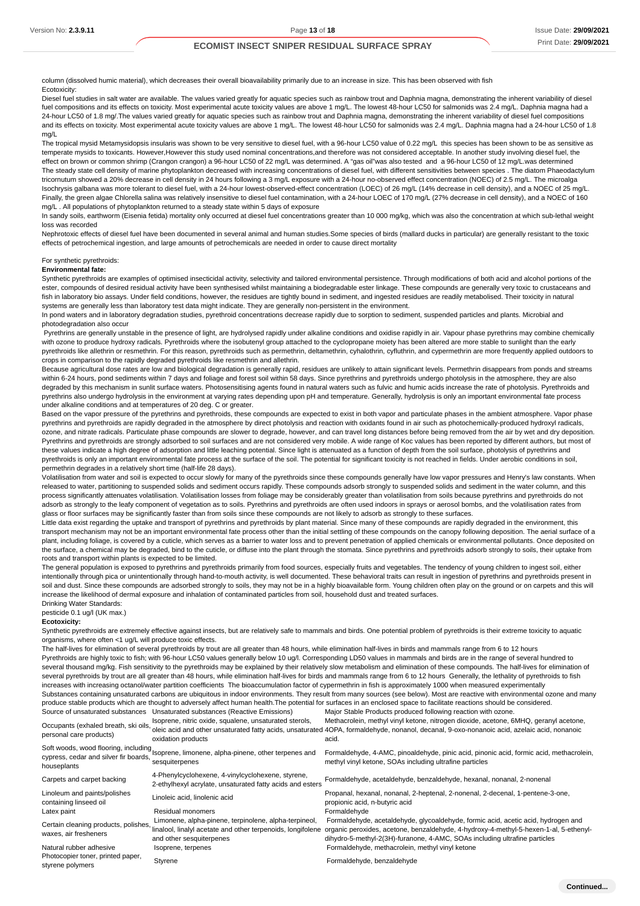column (dissolved humic material), which decreases their overall bioavailability primarily due to an increase in size. This has been observed with fish Ecotoxicity:

Diesel fuel studies in salt water are available. The values varied greatly for aquatic species such as rainbow trout and Daphnia magna, demonstrating the inherent variability of diesel fuel compositions and its effects on toxicity. Most experimental acute toxicity values are above 1 mg/L. The lowest 48-hour LC50 for salmonids was 2.4 mg/L. Daphnia magna had a 24-hour LC50 of 1.8 mg/. The values varied greatly for aquatic species such as rainbow trout and Daphnia magna, demonstrating the inherent variability of diesel fuel compositions and its effects on toxicity. Most experimental acute toxicity values are above 1 mg/L. The lowest 48-hour LC50 for salmonids was 2.4 mg/L. Daphnia magna had a 24-hour LC50 of 1.8 mg/L

The tropical mysid Metamysidopsis insularis was shown to be very sensitive to diesel fuel, with a 96-hour LC50 value of 0.22 mg/L this species has been shown to be as sensitive as temperate mysids to toxicants. However,However this study used nominal concentrations,and therefore was not considered acceptable. In another study involving diesel fuel, the effect on brown or common shrimp (Crangon crangon) a 96-hour LC50 of 22 mg/L was determined. A "gas oil"was also tested and a 96-hour LC50 of 12 mg/L.was determined The steady state cell density of marine phytoplankton decreased with increasing concentrations of diesel fuel, with different sensitivities between species . The diatom Phaeodactylum tricornutum showed a 20% decrease in cell density in 24 hours following a 3 mg/L exposure with a 24-hour no-observed effect concentration (NOEC) of 2.5 mg/L. The microalga Isochrysis galbana was more tolerant to diesel fuel, with a 24-hour lowest-observed-effect concentration (LOEC) of 26 mg/L (14% decrease in cell density), and a NOEC of 25 mg/L. Finally, the green algae Chlorella salina was relatively insensitive to diesel fuel contamination, with a 24-hour LOEC of 170 mg/L (27% decrease in cell density), and a NOEC of 160 mg/L . All populations of phytoplankton returned to a steady state within 5 days of exposure

In sandy soils, earthworm (Eisenia fetida) mortality only occurred at diesel fuel concentrations greater than 10 000 mg/kg, which was also the concentration at which sub-lethal weight loss was recorded

Nephrotoxic effects of diesel fuel have been documented in several animal and human studies. Some species of birds (mallard ducks in particular) are generally resistant to the toxic effects of petrochemical ingestion, and large amounts of petrochemicals are needed in order to cause direct mortality

#### For synthetic pyrethroids:

#### **Environmental fate:**

Synthetic pyrethroids are examples of optimised insecticidal activity, selectivity and tailored environmental persistence. Through modifications of both acid and alcohol portions of the ester, compounds of desired residual activity have been synthesised whilst maintaining a biodegradable ester linkage. These compounds are generally very toxic to crustaceans and fish in laboratory bio assays. Under field conditions, however, the residues are tightly bound in sediment, and ingested residues are readily metabolised. Their toxicity in natural systems are generally less than laboratory test data might indicate. They are generally non-persistent in the environment.

In pond waters and in laboratory degradation studies, pyrethroid concentrations decrease rapidly due to sorption to sediment, suspended particles and plants. Microbial and photodegradation also occur

Pyrethrins are generally unstable in the presence of light, are hydrolysed rapidly under alkaline conditions and oxidise rapidly in air. Vapour phase pyrethrins may combine chemically with ozone to produce hydroxy radicals. Pyrethroids where the isobutenyl group attached to the cyclopropane moiety has been altered are more stable to sunlight than the early pyrethroids like allethrin or resmethrin. For this reason, pyrethroids such as permethrin, deltamethrin, cyhalothrin, cytluthrin, and cypermethrin are more frequently applied outdoors to crops in comparison to the rapidly degraded pyrethroids like resmethrin and allethrin.

Because agricultural dose rates are low and biological degradation is generally rapid, residues are unlikely to attain significant levels. Permethrin disappears from ponds and streams within 6-24 hours, pond sediments within 7 days and foliage and forest soil within 58 days. Since pyrethrins and pyrethroids undergo photolysis in the atmosphere, they are also degraded by this mechanism in sunlit surface waters. Photosensitising agents found in natural waters such as fulvic and humic acids increase the rate of photolysis. Pyrethroids and pyrethrins also undergo hydrolysis in the environment at varying rates depending upon pH and temperature. Generally, hydrolysis is only an important environmental fate process under alkaline conditions and at temperatures of 20 deg. C or greater.

Based on the vapor pressure of the pyrethrins and pyrethroids, these compounds are expected to exist in both vapor and particulate phases in the ambient atmosphere. Vapor phase pyrethrins and pyrethroids are rapidly degraded in the atmosphere by direct photolysis and reaction with oxidants found in air such as photochemically-produced hydroxyl radicals, ozone, and nitrate radicals. Particulate phase compounds are slower to degrade, however, and can travel long distances before being removed from the air by wet and dry deposition. Pyrethrins and pyrethroids are strongly adsorbed to soil surfaces and are not considered very mobile. A wide range of Koc values has been reported by different authors, but most of these values indicate a high degree of adsorption and little leaching potential. Since light is attenuated as a function of depth from the soil surface, photolysis of pyrethrins and pyrethroids is only an important environmental fate process at the surface of the soil. The potential for significant toxicity is not reached in fields. Under aerobic conditions in soil, permethrin degrades in a relatively short time (half-life 28 days).

Volatilisation from water and soil is expected to occur slowly for many of the pyrethroids since these compounds generally have low vapor pressures and Henry's law constants. When released to water, partitioning to suspended solids and sediment occurs rapidly. These compounds adsorb strongly to suspended solids and sediment in the water column, and this process significantly attenuates volatilisation. Volatilisation losses from foliage may be considerably greater than volatilisation from soils because pyrethrins and pyrethroids do not adsorb as strongly to the leafy component of vegetation as to soils. Pyrethrins and pyrethroids are often used indoors in sprays or aerosol bombs, and the volatilisation rates from glass or floor surfaces may be significantly faster than from soils since these compounds are not likely to adsorb as strongly to these surfaces.

Little data exist regarding the uptake and transport of pyrethrins and pyrethroids by plant material. Since many of these compounds are rapidly degraded in the environment, this transport mechanism may not be an important environmental fate process other than the initial settling of these compounds on the canopy following deposition. The aerial surface of a plant, including foliage, is covered by a cuticle, which serves as a barrier to water loss and to prevent penetration of applied chemicals or environmental pollutants. Once deposited on the surface, a chemical may be degraded, bind to the cuticle, or diffuse into the plant through the stomata. Since pyrethrins and pyrethroids adsorb strongly to soils, their uptake from roots and transport within plants is expected to be limited.

The general population is exposed to pyrethrins and pyrethroids primarily from food sources, especially fruits and vegetables. The tendency of young children to ingest soil, either intentionally through pica or unintentionally through hand-to-mouth activity, is well documented. These behavioral traits can result in ingestion of pyrethrins and pyrethroids present in soil and dust. Since these compounds are adsorbed strongly to soils, they may not be in a highly bioavailable form. Young children often play on the ground or on carpets and this will increase the likelihood of dermal exposure and inhalation of contaminated particles from soil, household dust and treated surfaces.

## Drinking Water Standards:

#### pesticide 0.1 ug/l (UK max.) **Ecotoxicity:**

Synthetic pyrethroids are extremely effective against insects, but are relatively safe to mammals and birds. One potential problem of pyrethroids is their extreme toxicity to aquatic organisms, where often <1 ug/L will produce toxic effects.

The half-lives for elimination of several pyrethroids by trout are all greater than 48 hours, while elimination half-lives in birds and mammals range from 6 to 12 hours Pyrethroids are highly toxic to fish; with 96-hour LC50 values generally below 10 ug/l. Corresponding LD50 values in mammals and birds are in the range of several hundred to several thousand mg/kg. Fish sensitivity to the pyrethroids may be explained by their relatively slow metabolism and elimination of these compounds. The half-lives for elimination of several pyrethroids by trout are all greater than 48 hours, while elimination half-lives for birds and mammals range from 6 to 12 hours Generally, the lethality of pyrethroids to fish increases with increasing octanol/water partition coefficients The bioaccumulation factor of cypermethrin in fish is approximately 1000 when measured experimentally Substances containing unsaturated carbons are ubiquitous in indoor environments. They result from many sources (see below). Most are reactive with environmental ozone and many produce stable products which are thought to adversely affect human health.The potential for surfaces in an enclosed space to facilitate reactions should be considered.

| Source of unsaturated substances                                | Unsaturated substances (Reactive Emissions)                                                                                                      | Major Stable Products produced following reaction with ozone.                                                                                                                                                                                            |
|-----------------------------------------------------------------|--------------------------------------------------------------------------------------------------------------------------------------------------|----------------------------------------------------------------------------------------------------------------------------------------------------------------------------------------------------------------------------------------------------------|
| Occupants (exhaled breath, ski oils,<br>personal care products) | Isoprene, nitric oxide, squalene, unsaturated sterols,<br>oxidation products                                                                     | Methacrolein, methyl vinyl ketone, nitrogen dioxide, acetone, 6MHQ, geranyl acetone,<br>oleic acid and other unsaturated fatty acids, unsaturated 4OPA, formaldehyde, nonanol, decanal, 9-oxo-nonanoic acid, azelaic acid, nonanoic<br>acid.             |
| cypress, cedar and silver fir boards,<br>houseplants            | Soft woods, wood flooring, including<br>soprene, limonene, alpha-pinene, other terpenes and<br>sesquiterpenes                                    | Formaldehyde, 4-AMC, pinoaldehyde, pinic acid, pinonic acid, formic acid, methacrolein,<br>methyl vinyl ketone, SOAs including ultrafine particles                                                                                                       |
| Carpets and carpet backing                                      | 4-Phenylcyclohexene, 4-vinylcyclohexene, styrene,<br>2-ethylhexyl acrylate, unsaturated fatty acids and esters                                   | Formaldehyde, acetaldehyde, benzaldehyde, hexanal, nonanal, 2-nonenal                                                                                                                                                                                    |
| Linoleum and paints/polishes<br>containing linseed oil          | Linoleic acid, linolenic acid                                                                                                                    | Propanal, hexanal, nonanal, 2-heptenal, 2-nonenal, 2-decenal, 1-pentene-3-one,<br>propionic acid, n-butyric acid                                                                                                                                         |
| Latex paint                                                     | Residual monomers                                                                                                                                | Formaldehyde                                                                                                                                                                                                                                             |
| Certain cleaning products, polishes,<br>waxes, air fresheners   | Limonene, alpha-pinene, terpinolene, alpha-terpineol,<br>linalool, linalyl acetate and other terpenoids, longifolene<br>and other sesquiterpenes | Formaldehyde, acetaldehyde, glycoaldehyde, formic acid, acetic acid, hydrogen and<br>organic peroxides, acetone, benzaldehyde, 4-hydroxy-4-methyl-5-hexen-1-al, 5-ethenyl-<br>dihydro-5-methyl-2(3H)-furanone, 4-AMC, SOAs including ultrafine particles |
| Natural rubber adhesive                                         | Isoprene, terpenes                                                                                                                               | Formaldehyde, methacrolein, methyl vinyl ketone                                                                                                                                                                                                          |
| Photocopier toner, printed paper,<br>styrene polymers           | Styrene                                                                                                                                          | Formaldehyde, benzaldehyde                                                                                                                                                                                                                               |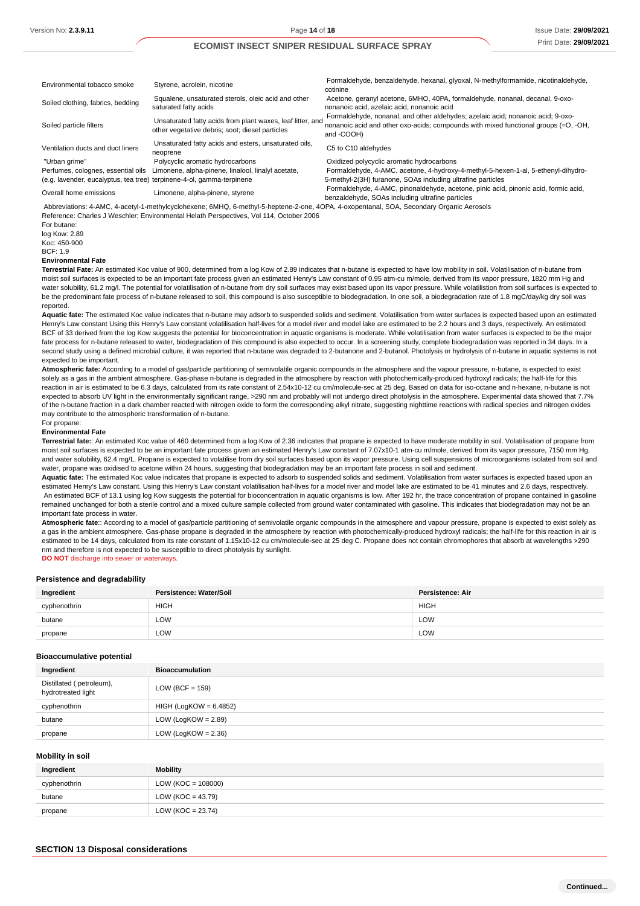| Environmental tobacco smoke                                                                                                              | Styrene, acrolein, nicotine                                                                                   | Formaldehyde, benzaldehyde, hexanal, glyoxal, N-methylformamide, nicotinaldehyde,<br>cotinine                                                                                        |  |
|------------------------------------------------------------------------------------------------------------------------------------------|---------------------------------------------------------------------------------------------------------------|--------------------------------------------------------------------------------------------------------------------------------------------------------------------------------------|--|
| Soiled clothing, fabrics, bedding                                                                                                        | Squalene, unsaturated sterols, oleic acid and other<br>saturated fatty acids                                  | Acetone, geranyl acetone, 6MHO, 40PA, formaldehyde, nonanal, decanal, 9-oxo-<br>nonanoic acid, azelaic acid, nonanoic acid                                                           |  |
| Soiled particle filters                                                                                                                  | Unsaturated fatty acids from plant waxes, leaf litter, and<br>other vegetative debris; soot; diesel particles | Formaldehyde, nonanal, and other aldehydes; azelaic acid; nonanoic acid; 9-oxo-<br>nonanoic acid and other oxo-acids; compounds with mixed functional groups (=O, -OH,<br>and -COOH) |  |
| Ventilation ducts and duct liners                                                                                                        | Unsaturated fatty acids and esters, unsaturated oils,<br>neoprene                                             | C5 to C10 aldehydes                                                                                                                                                                  |  |
| "Urban grime"                                                                                                                            | Polycyclic aromatic hydrocarbons                                                                              | Oxidized polycyclic aromatic hydrocarbons                                                                                                                                            |  |
| Perfumes, colognes, essential oils                                                                                                       | Limonene, alpha-pinene, linalool, linalyl acetate,                                                            | Formaldehyde, 4-AMC, acetone, 4-hydroxy-4-methyl-5-hexen-1-al, 5-ethenyl-dihydro-                                                                                                    |  |
| (e.g. lavender, eucalyptus, tea tree) terpinene-4-ol, gamma-terpinene                                                                    |                                                                                                               | 5-methyl-2(3H) furanone, SOAs including ultrafine particles                                                                                                                          |  |
| Overall home emissions                                                                                                                   | Limonene, alpha-pinene, styrene                                                                               | Formaldehyde, 4-AMC, pinonaldehyde, acetone, pinic acid, pinonic acid, formic acid,<br>benzaldehyde, SOAs including ultrafine particles                                              |  |
| Abbreviations: 4-AMC, 4-acetyl-1-methylcyclohexene; 6MHQ, 6-methyl-5-heptene-2-one, 4OPA, 4-oxopentanal, SOA, Secondary Organic Aerosols |                                                                                                               |                                                                                                                                                                                      |  |

Reference: Charles J Weschler; Environmental Helath Perspectives, Vol 114, October 2006

For butane: log Kow: 2.89 Koc: 450-900 BCF: 1.9

#### **Environmental Fate**

**Terrestrial Fate:** An estimated Koc value of 900, determined from a log Kow of 2.89 indicates that n-butane is expected to have low mobility in soil. Volatilisation of n-butane from moist soil surfaces is expected to be an important fate process given an estimated Henry's Law constant of 0.95 atm-cu m/mole, derived from its vapor pressure, 1820 mm Hg and water solubility, 61.2 mg/l. The potential for volatilisation of n-butane from dry soil surfaces may exist based upon its vapor pressure. While volatilistion from soil surfaces is expected to be the predominant fate process of n-butane released to soil, this compound is also susceptible to biodegradation. In one soil, a biodegradation rate of 1.8 mgC/day/kg dry soil was reported.

**Aquatic fate:** The estimated Koc value indicates that n-butane may adsorb to suspended solids and sediment. Volatilisation from water surfaces is expected based upon an estimated Henry's Law constant Using this Henry's Law constant volatilisation half-lives for a model river and model lake are estimated to be 2.2 hours and 3 days, respectively. An estimated BCF of 33 derived from the log Kow suggests the potential for bioconcentration in aquatic organisms is moderate. While volatilisation from water surfaces is expected to be the major fate process for n-butane released to water, biodegradation of this compound is also expected to occur. In a screening study, complete biodegradation was reported in 34 days. In a second study using a defined microbial culture, it was reported that n-butane was degraded to 2-butanone and 2-butanol. Photolysis or hydrolysis of n-butane in aquatic systems is not expected to be important.

**Atmospheric fate:** According to a model of gas/particle partitioning of semivolatile organic compounds in the atmosphere and the vapour pressure, n-butane, is expected to exist solely as a gas in the ambient atmosphere. Gas-phase n-butane is degraded in the atmosphere by reaction with photochemically-produced hydroxyl radicals; the half-life for this reaction in air is estimated to be 6.3 days, calculated from its rate constant of 2.54x10-12 cu cm/molecule-sec at 25 deg. Based on data for iso-octane and n-hexane, n-butane is not expected to absorb UV light in the environmentally significant range, >290 nm and probably will not undergo direct photolysis in the atmosphere. Experimental data showed that 7.7% of the n-butane fraction in a dark chamber reacted with nitrogen oxide to form the corresponding alkyl nitrate, suggesting nighttime reactions with radical species and nitrogen oxides may contribute to the atmospheric transformation of n-butane.

#### For propane: **Environmental Fate**

**Terrestrial fate:**: An estimated Koc value of 460 determined from a log Kow of 2.36 indicates that propane is expected to have moderate mobility in soil. Volatilisation of propane from moist soil surfaces is expected to be an important fate process given an estimated Henry's Law constant of 7.07x10-1 atm-cu m/mole, derived from its vapor pressure, 7150 mm Hg, and water solubility, 62.4 mg/L. Propane is expected to volatilise from dry soil surfaces based upon its vapor pressure. Using cell suspensions of microorganisms isolated from soil and

water, propane was oxidised to acetone within 24 hours, suggesting that biodegradation may be an important fate process in soil and sediment. **Aquatic fate:** The estimated Koc value indicates that propane is expected to adsorb to suspended solids and sediment. Volatilisation from water surfaces is expected based upon an estimated Henry's Law constant. Using this Henry's Law constant volatilisation half-lives for a model river and model lake are estimated to be 41 minutes and 2.6 days, respectively. An estimated BCF of 13.1 using log Kow suggests the potential for bioconcentration in aquatic organisms is low. After 192 hr, the trace concentration of propane contained in gasoline remained unchanged for both a sterile control and a mixed culture sample collected from ground water contaminated with gasoline. This indicates that biodegradation may not be an important fate process in water.

Atmospheric fate:: According to a model of gas/particle partitioning of semivolatile organic compounds in the atmosphere and vapour pressure, propane is expected to exist solely as a gas in the ambient atmosphere. Gas-phase propane is degraded in the atmosphere by reaction with photochemically-produced hydroxyl radicals; the half-life for this reaction in air is estimated to be 14 days, calculated from its rate constant of 1.15x10-12 cu cm/molecule-sec at 25 deg C. Propane does not contain chromophores that absorb at wavelengths >290 nm and therefore is not expected to be susceptible to direct photolysis by sunlight.

**DO NOT** discharge into sewer or waterways.

#### **Persistence and degradability**

| Ingredient   | Persistence: Water/Soil     | <b>Persistence: Air</b> |
|--------------|-----------------------------|-------------------------|
| cyphenothrin | <b>HIGH</b>                 | <b>HIGH</b>             |
| butane       | LOW                         | LOW                     |
| propane      | <b>LOW</b><br>$\sim$ $\sim$ | LOW                     |

#### **Bioaccumulative potential**

| Ingredient                                     | <b>Bioaccumulation</b>   |
|------------------------------------------------|--------------------------|
| Distillated (petroleum),<br>hydrotreated light | LOW (BCF = $159$ )       |
| cyphenothrin                                   | $HIGH (LogKOW = 6.4852)$ |
| butane                                         | LOW (LogKOW = $2.89$ )   |
| propane                                        | LOW (LogKOW = $2.36$ )   |

### **Mobility in soil**

| Ingredient   | Mobility             |
|--------------|----------------------|
| cyphenothrin | $LOW (KOC = 108000)$ |
| butane       | LOW (KOC = $43.79$ ) |
| propane      | LOW (KOC = $23.74$ ) |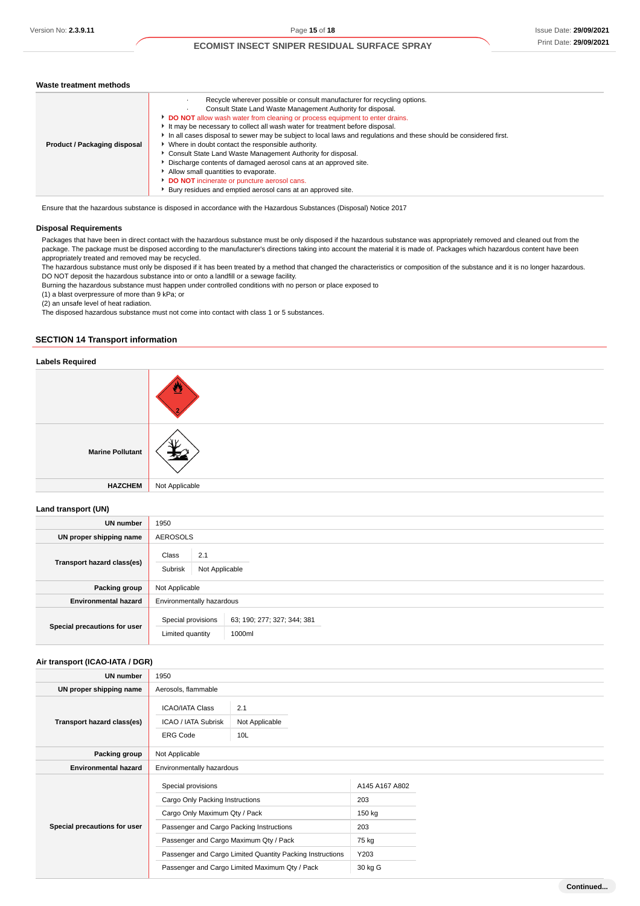### **Waste treatment methods**

| Product / Packaging disposal | Recycle wherever possible or consult manufacturer for recycling options.<br>Consult State Land Waste Management Authority for disposal.<br>DO NOT allow wash water from cleaning or process equipment to enter drains.<br>It may be necessary to collect all wash water for treatment before disposal.<br>In all cases disposal to sewer may be subject to local laws and regulations and these should be considered first.<br>• Where in doubt contact the responsible authority.<br>Consult State Land Waste Management Authority for disposal.<br>Discharge contents of damaged aerosol cans at an approved site.<br>Allow small quantities to evaporate.<br>DO NOT incinerate or puncture aerosol cans.<br>Bury residues and emptied aerosol cans at an approved site. |
|------------------------------|----------------------------------------------------------------------------------------------------------------------------------------------------------------------------------------------------------------------------------------------------------------------------------------------------------------------------------------------------------------------------------------------------------------------------------------------------------------------------------------------------------------------------------------------------------------------------------------------------------------------------------------------------------------------------------------------------------------------------------------------------------------------------|

Ensure that the hazardous substance is disposed in accordance with the Hazardous Substances (Disposal) Notice 2017

## **Disposal Requirements**

Packages that have been in direct contact with the hazardous substance must be only disposed if the hazardous substance was appropriately removed and cleaned out from the package. The package must be disposed according to the manufacturer's directions taking into account the material it is made of. Packages which hazardous content have been appropriately treated and removed may be recycled.

The hazardous substance must only be disposed if it has been treated by a method that changed the characteristics or composition of the substance and it is no longer hazardous. DO NOT deposit the hazardous substance into or onto a landfill or a sewage facility.

Burning the hazardous substance must happen under controlled conditions with no person or place exposed to

(1) a blast overpressure of more than 9 kPa; or

(2) an unsafe level of heat radiation.

The disposed hazardous substance must not come into contact with class 1 or 5 substances.

## **SECTION 14 Transport information**

### **Labels Required**

| <b>Marine Pollutant</b> |                |
|-------------------------|----------------|
| <b>HAZCHEM</b>          | Not Applicable |

### **Land transport (UN)**

| <b>UN number</b>             | 1950                                      |                                       |
|------------------------------|-------------------------------------------|---------------------------------------|
| UN proper shipping name      | <b>AEROSOLS</b>                           |                                       |
| Transport hazard class(es)   | Class<br>2.1<br>Subrisk<br>Not Applicable |                                       |
| Packing group                | Not Applicable                            |                                       |
| <b>Environmental hazard</b>  | Environmentally hazardous                 |                                       |
| Special precautions for user | Special provisions<br>Limited quantity    | 63; 190; 277; 327; 344; 381<br>1000ml |

### **Air transport (ICAO-IATA / DGR)**

| <b>UN number</b>             | 1950                                                                    |                              |                |  |
|------------------------------|-------------------------------------------------------------------------|------------------------------|----------------|--|
| UN proper shipping name      | Aerosols, flammable                                                     |                              |                |  |
| Transport hazard class(es)   | <b>ICAO/IATA Class</b><br><b>ICAO / IATA Subrisk</b><br><b>ERG Code</b> | 2.1<br>Not Applicable<br>10L |                |  |
| Packing group                | Not Applicable                                                          |                              |                |  |
| <b>Environmental hazard</b>  | Environmentally hazardous                                               |                              |                |  |
|                              | Special provisions                                                      |                              | A145 A167 A802 |  |
|                              | Cargo Only Packing Instructions                                         |                              | 203            |  |
|                              | Cargo Only Maximum Qty / Pack                                           |                              | 150 kg         |  |
| Special precautions for user | Passenger and Cargo Packing Instructions                                |                              | 203            |  |
|                              | Passenger and Cargo Maximum Qty / Pack                                  |                              | 75 kg          |  |
|                              | Passenger and Cargo Limited Quantity Packing Instructions               |                              | Y203           |  |
|                              | Passenger and Cargo Limited Maximum Qty / Pack                          |                              | 30 kg G        |  |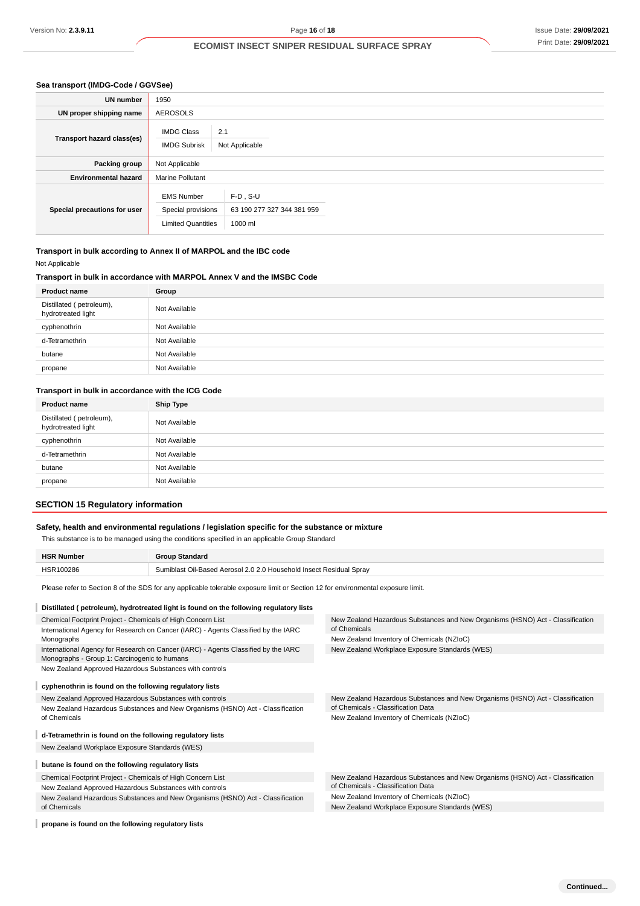### **Sea transport (IMDG-Code / GGVSee)**

| <b>UN number</b>             | 1950                                                                 |                                                      |
|------------------------------|----------------------------------------------------------------------|------------------------------------------------------|
| UN proper shipping name      | <b>AEROSOLS</b>                                                      |                                                      |
| Transport hazard class(es)   | <b>IMDG Class</b><br><b>IMDG Subrisk</b>                             | 2.1<br>Not Applicable                                |
| Packing group                | Not Applicable                                                       |                                                      |
| <b>Environmental hazard</b>  | <b>Marine Pollutant</b>                                              |                                                      |
| Special precautions for user | <b>EMS Number</b><br>Special provisions<br><b>Limited Quantities</b> | $F-D$ , S-U<br>63 190 277 327 344 381 959<br>1000 ml |

**Transport in bulk according to Annex II of MARPOL and the IBC code** Not Applicable

## **Transport in bulk in accordance with MARPOL Annex V and the IMSBC Code**

| <b>Product name</b>                            | Group         |
|------------------------------------------------|---------------|
| Distillated (petroleum),<br>hydrotreated light | Not Available |
| cyphenothrin                                   | Not Available |
| d-Tetramethrin                                 | Not Available |
| butane                                         | Not Available |
| propane                                        | Not Available |

## **Transport in bulk in accordance with the ICG Code**

| <b>Product name</b>                            | <b>Ship Type</b> |
|------------------------------------------------|------------------|
| Distillated (petroleum),<br>hydrotreated light | Not Available    |
| cyphenothrin                                   | Not Available    |
| d-Tetramethrin                                 | Not Available    |
| butane                                         | Not Available    |
| propane                                        | Not Available    |

### **SECTION 15 Regulatory information**

### **Safety, health and environmental regulations / legislation specific for the substance or mixture**

This substance is to be managed using the conditions specified in an applicable Group Standard

| <b>HSR Number</b> | <b>Group Standard</b>                                               |
|-------------------|---------------------------------------------------------------------|
| HSR100286         | Sumiblast Oil-Based Aerosol 2.0 2.0 Household Insect Residual Spray |
|                   |                                                                     |

Please refer to Section 8 of the SDS for any applicable tolerable exposure limit or Section 12 for environmental exposure limit.

## **Distillated ( petroleum), hydrotreated light is found on the following regulatory lists**

| Chemical Footprint Project - Chemicals of High Concern List                        | New Zealand Hazardous Substances and New Organisms (HSNO) Act - Classification |  |
|------------------------------------------------------------------------------------|--------------------------------------------------------------------------------|--|
| International Agency for Research on Cancer (IARC) - Agents Classified by the IARC | of Chemicals                                                                   |  |
| Monographs                                                                         | New Zealand Inventory of Chemicals (NZIoC)                                     |  |
| International Agency for Research on Cancer (IARC) - Agents Classified by the IARC | New Zealand Workplace Exposure Standards (WES)                                 |  |
| Monographs - Group 1: Carcinogenic to humans                                       |                                                                                |  |
| New Zealand Approved Hazardous Substances with controls                            |                                                                                |  |
|                                                                                    |                                                                                |  |
| cyphenothrin is found on the following regulatory lists                            |                                                                                |  |
| New Zealand Approved Hazardous Substances with controls                            | New Zealand Hazardous Substances and New Organisms (HSNO) Act - Classification |  |
| New Zealand Hazardous Substances and New Organisms (HSNO) Act - Classification     | of Chemicals - Classification Data                                             |  |
| of Chemicals                                                                       | New Zealand Inventory of Chemicals (NZIoC)                                     |  |
|                                                                                    |                                                                                |  |
| d-Tetramethrin is found on the following regulatory lists                          |                                                                                |  |
| New Zealand Workplace Exposure Standards (WES)                                     |                                                                                |  |
|                                                                                    |                                                                                |  |
| butane is found on the following regulatory lists                                  |                                                                                |  |
| Chemical Footprint Project - Chemicals of High Concern List                        | New Zealand Hazardous Substances and New Organisms (HSNO) Act - Classification |  |
| New Zealand Approved Hazardous Substances with controls                            | of Chemicals - Classification Data                                             |  |
| New Zealand Hazardous Substances and New Organisms (HSNO) Act - Classification     | New Zealand Inventory of Chemicals (NZIoC)                                     |  |
| of Chemicals                                                                       | New Zealand Workplace Exposure Standards (WES)                                 |  |
|                                                                                    |                                                                                |  |

**propane is found on the following regulatory lists**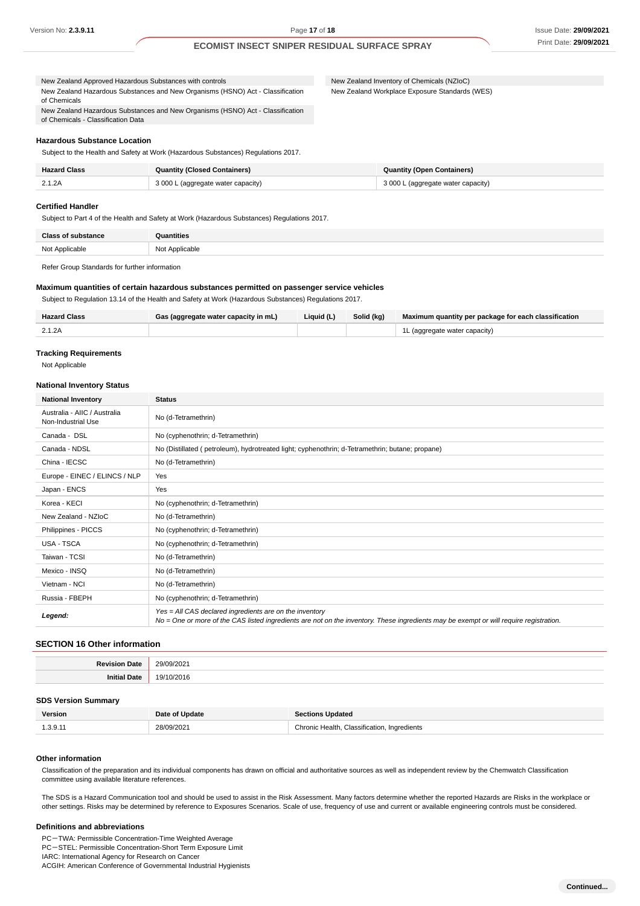## Issue Date: **29/09/2021** Print Date: **29/09/2021**

### **ECOMIST INSECT SNIPER RESIDUAL SURFACE SPRAY**

New Zealand Approved Hazardous Substances with controls New Zealand Hazardous Substances and New Organisms (HSNO) Act - Classification of Chemicals New Zealand Hazardous Substances and New Organisms (HSNO) Act - Classification New Zealand Inventory of Chemicals (NZIoC) New Zealand Workplace Exposure Standards (WES)

**Hazardous Substance Location**

of Chemicals - Classification Data

Subject to the Health and Safety at Work (Hazardous Substances) Regulations 2017.

| <b>Hazard Class</b> | <b>Quantity (Closed Containers)</b> | <b>Quantity (Open Containers)</b>  |
|---------------------|-------------------------------------|------------------------------------|
| 2.1.2A              | 3 000 L (aggregate water capacity)  | 3 000 L (aggregate water capacity) |

### **Certified Handler**

Subject to Part 4 of the Health and Safety at Work (Hazardous Substances) Regulations 2017.

| Class of<br>ance                              | <b>stities</b>             |
|-----------------------------------------------|----------------------------|
| Not Annlicable<br><b>INOL Applicable</b><br>. | Applicable<br>NM+<br>1301F |
|                                               |                            |

Refer Group Standards for further information

### **Maximum quantities of certain hazardous substances permitted on passenger service vehicles**

Subject to Regulation 13.14 of the Health and Safety at Work (Hazardous Substances) Regulations 2017.

| <b>Hazard Class</b> | Gas (aggregate water capacity in mL) | Liquid $(L)$ | Solid (kg) | Maximum quantity per package for each classification |
|---------------------|--------------------------------------|--------------|------------|------------------------------------------------------|
|                     |                                      |              |            | 1L (aggregate water capacity)                        |

### **Tracking Requirements**

Not Applicable

#### **National Inventory Status**

| <b>National Inventory</b>                          | <b>Status</b>                                                                                                                                                                                     |
|----------------------------------------------------|---------------------------------------------------------------------------------------------------------------------------------------------------------------------------------------------------|
| Australia - AIIC / Australia<br>Non-Industrial Use | No (d-Tetramethrin)                                                                                                                                                                               |
| Canada - DSL                                       | No (cyphenothrin; d-Tetramethrin)                                                                                                                                                                 |
| Canada - NDSL                                      | No (Distillated (petroleum), hydrotreated light; cyphenothrin; d-Tetramethrin; butane; propane)                                                                                                   |
| China - IECSC                                      | No (d-Tetramethrin)                                                                                                                                                                               |
| Europe - EINEC / ELINCS / NLP                      | Yes                                                                                                                                                                                               |
| Japan - ENCS                                       | Yes                                                                                                                                                                                               |
| Korea - KECI                                       | No (cyphenothrin; d-Tetramethrin)                                                                                                                                                                 |
| New Zealand - NZIoC                                | No (d-Tetramethrin)                                                                                                                                                                               |
| Philippines - PICCS                                | No (cyphenothrin; d-Tetramethrin)                                                                                                                                                                 |
| <b>USA - TSCA</b>                                  | No (cyphenothrin; d-Tetramethrin)                                                                                                                                                                 |
| Taiwan - TCSI                                      | No (d-Tetramethrin)                                                                                                                                                                               |
| Mexico - INSQ                                      | No (d-Tetramethrin)                                                                                                                                                                               |
| Vietnam - NCI                                      | No (d-Tetramethrin)                                                                                                                                                                               |
| Russia - FBEPH                                     | No (cyphenothrin; d-Tetramethrin)                                                                                                                                                                 |
| Legend:                                            | Yes = All CAS declared ingredients are on the inventory<br>No = One or more of the CAS listed ingredients are not on the inventory. These ingredients may be exempt or will require registration. |

## **SECTION 16 Other information**

| . 109 |
|-------|
|       |

### **SDS Version Summary**

| <b>Version</b>                  | Date of Update | <b>Sections Updated</b>                                |
|---------------------------------|----------------|--------------------------------------------------------|
| .3.9.11<br>$\sim$ $\sim$ $\sim$ | 28/09/2021     | `hr∩i<br>Classification.<br>. Inaredients<br>.: Health |

## **Other information**

Classification of the preparation and its individual components has drawn on official and authoritative sources as well as independent review by the Chemwatch Classification committee using available literature references.

The SDS is a Hazard Communication tool and should be used to assist in the Risk Assessment. Many factors determine whether the reported Hazards are Risks in the workplace or other settings. Risks may be determined by reference to Exposures Scenarios. Scale of use, frequency of use and current or available engineering controls must be considered.

#### **Definitions and abbreviations**

PC-TWA: Permissible Concentration-Time Weighted Average PC-STEL: Permissible Concentration-Short Term Exposure Limit

IARC: International Agency for Research on Cancer

ACGIH: American Conference of Governmental Industrial Hygienists